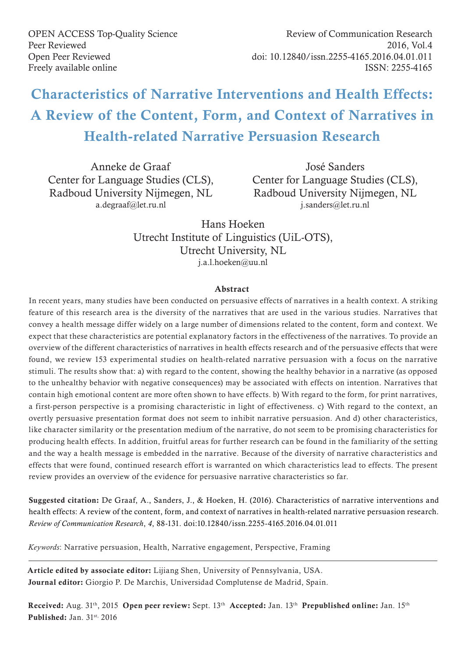OPEN ACCESS Top-Quality Science Peer Reviewed Open Peer Reviewed Freely available online

# Characteristics of Narrative Interventions and Health Effects: A Review of the Content, Form, and Context of Narratives in Health-related Narrative Persuasion Research

Anneke de Graaf Center for Language Studies (CLS), Radboud University Nijmegen, NL a.degraaf@let.ru.nl

José Sanders Center for Language Studies (CLS), Radboud University Nijmegen, NL j.sanders@let.ru.nl

Hans Hoeken Utrecht Institute of Linguistics (UiL-OTS), Utrecht University, NL j.a.l.hoeken@uu.nl

### Abstract

In recent years, many studies have been conducted on persuasive effects of narratives in a health context. A striking feature of this research area is the diversity of the narratives that are used in the various studies. Narratives that convey a health message differ widely on a large number of dimensions related to the content, form and context. We expect that these characteristics are potential explanatory factors in the effectiveness of the narratives. To provide an overview of the different characteristics of narratives in health effects research and of the persuasive effects that were found, we review 153 experimental studies on health-related narrative persuasion with a focus on the narrative stimuli. The results show that: a) with regard to the content, showing the healthy behavior in a narrative (as opposed to the unhealthy behavior with negative consequences) may be associated with effects on intention. Narratives that contain high emotional content are more often shown to have effects. b) With regard to the form, for print narratives, a first-person perspective is a promising characteristic in light of effectiveness. c) With regard to the context, an overtly persuasive presentation format does not seem to inhibit narrative persuasion. And d) other characteristics, like character similarity or the presentation medium of the narrative, do not seem to be promising characteristics for producing health effects. In addition, fruitful areas for further research can be found in the familiarity of the setting and the way a health message is embedded in the narrative. Because of the diversity of narrative characteristics and effects that were found, continued research effort is warranted on which characteristics lead to effects. The present review provides an overview of the evidence for persuasive narrative characteristics so far.

Suggested citation: De Graaf, A., Sanders, J., & Hoeken, H. (2016). Characteristics of narrative interventions and health effects: A review of the content, form, and context of narratives in health-related narrative persuasion research. *Review of Communication Research*, *4*, 88-131. doi:10.12840/issn.2255-4165.2016.04.01.011

*Keywords*: Narrative persuasion, Health, Narrative engagement, Perspective, Framing

Article edited by associate editor: Lijiang Shen, University of Pennsylvania, USA. Journal editor: Giorgio P. De Marchis, Universidad Complutense de Madrid, Spain.

Received: Aug. 31<sup>th</sup>, 2015 Open peer review: Sept. 13<sup>th</sup> Accepted: Jan. 13<sup>th</sup> Prepublished online: Jan. 15<sup>th</sup> Published: Jan. 31st, 2016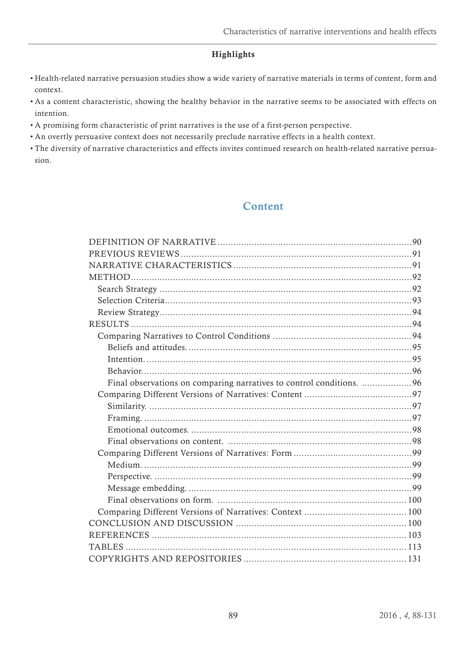# Highlights

- Health-related narrative persuasion studies show a wide variety of narrative materials in terms of content, form and context.
- As a content characteristic, showing the healthy behavior in the narrative seems to be associated with effects on intention.
- A promising form characteristic of print narratives is the use of a first-person perspective.
- An overtly persuasive context does not necessarily preclude narrative effects in a health context.
- The diversity of narrative characteristics and effects invites continued research on health-related narrative persuasion.

# **Content**

| Final observations on comparing narratives to control conditions. 96 |  |
|----------------------------------------------------------------------|--|
|                                                                      |  |
|                                                                      |  |
|                                                                      |  |
|                                                                      |  |
|                                                                      |  |
|                                                                      |  |
|                                                                      |  |
|                                                                      |  |
|                                                                      |  |
|                                                                      |  |
|                                                                      |  |
|                                                                      |  |
|                                                                      |  |
|                                                                      |  |
|                                                                      |  |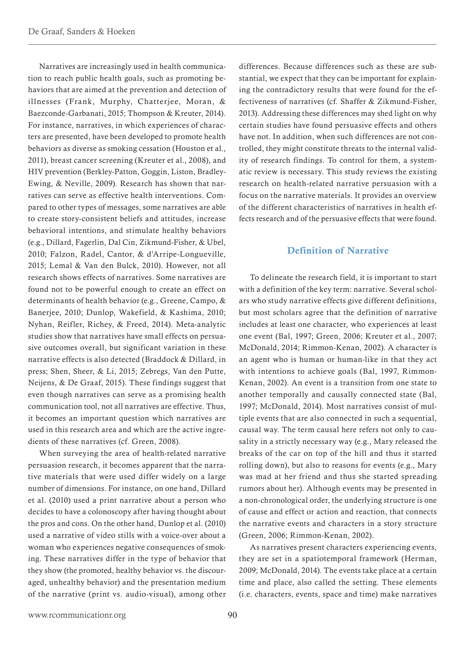<span id="page-2-0"></span>Narratives are increasingly used in health communication to reach public health goals, such as promoting behaviors that are aimed at the prevention and detection of illnesses (Frank, Murphy, Chatterjee, Moran, & Baezconde-Garbanati, 2015; Thompson & Kreuter, 2014). For instance, narratives, in which experiences of characters are presented, have been developed to promote health behaviors as diverse as smoking cessation (Houston et al., 2011), breast cancer screening (Kreuter et al., 2008), and HIV prevention (Berkley-Patton, Goggin, Liston, Bradley-Ewing, & Neville, 2009). Research has shown that narratives can serve as effective health interventions. Compared to other types of messages, some narratives are able to create story-consistent beliefs and attitudes, increase behavioral intentions, and stimulate healthy behaviors (e.g., Dillard, Fagerlin, Dal Cin, Zikmund-Fisher, & Ubel, 2010; Falzon, Radel, Cantor, & d'Arripe-Longueville, 2015; Lemal & Van den Bulck, 2010). However, not all research shows effects of narratives. Some narratives are found not to be powerful enough to create an effect on determinants of health behavior (e.g., Greene, Campo, & Banerjee, 2010; Dunlop, Wakefield, & Kashima, 2010; Nyhan, Reifler, Richey, & Freed, 2014). Meta-analytic studies show that narratives have small effects on persuasive outcomes overall, but significant variation in these narrative effects is also detected (Braddock & Dillard, in press; Shen, Sheer, & Li, 2015; Zebregs, Van den Putte, Neijens, & De Graaf, 2015). These findings suggest that even though narratives can serve as a promising health communication tool, not all narratives are effective. Thus, it becomes an important question which narratives are used in this research area and which are the active ingredients of these narratives (cf. Green, 2008).

When surveying the area of health-related narrative persuasion research, it becomes apparent that the narrative materials that were used differ widely on a large number of dimensions. For instance, on one hand, Dillard et al. (2010) used a print narrative about a person who decides to have a colonoscopy after having thought about the pros and cons. On the other hand, Dunlop et al. (2010) used a narrative of video stills with a voice-over about a woman who experiences negative consequences of smoking. These narratives differ in the type of behavior that they show (the promoted, healthy behavior vs. the discouraged, unhealthy behavior) and the presentation medium of the narrative (print vs. audio-visual), among other

differences. Because differences such as these are substantial, we expect that they can be important for explaining the contradictory results that were found for the effectiveness of narratives (cf. Shaffer & Zikmund-Fisher, 2013). Addressing these differences may shed light on why certain studies have found persuasive effects and others have not. In addition, when such differences are not controlled, they might constitute threats to the internal validity of research findings. To control for them, a systematic review is necessary. This study reviews the existing research on health-related narrative persuasion with a focus on the narrative materials. It provides an overview of the different characteristics of narratives in health effects research and of the persuasive effects that were found.

### Definition of Narrative

To delineate the research field, it is important to start with a definition of the key term: narrative. Several scholars who study narrative effects give different definitions, but most scholars agree that the definition of narrative includes at least one character, who experiences at least one event (Bal, 1997; Green, 2006; Kreuter et al., 2007; McDonald, 2014; Rimmon-Kenan, 2002). A character is an agent who is human or human-like in that they act with intentions to achieve goals (Bal, 1997, Rimmon-Kenan, 2002). An event is a transition from one state to another temporally and causally connected state (Bal, 1997; McDonald, 2014). Most narratives consist of multiple events that are also connected in such a sequential, causal way. The term causal here refers not only to causality in a strictly necessary way (e.g., Mary released the breaks of the car on top of the hill and thus it started rolling down), but also to reasons for events (e.g., Mary was mad at her friend and thus she started spreading rumors about her). Although events may be presented in a non-chronological order, the underlying structure is one of cause and effect or action and reaction, that connects the narrative events and characters in a story structure (Green, 2006; Rimmon-Kenan, 2002).

As narratives present characters experiencing events, they are set in a spatiotemporal framework (Herman, 2009; McDonald, 2014). The events take place at a certain time and place, also called the setting. These elements (i.e. characters, events, space and time) make narratives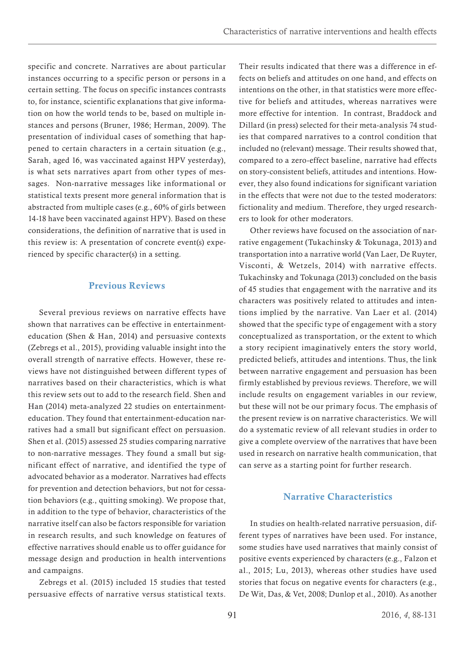<span id="page-3-0"></span>specific and concrete. Narratives are about particular instances occurring to a specific person or persons in a certain setting. The focus on specific instances contrasts to, for instance, scientific explanations that give information on how the world tends to be, based on multiple instances and persons (Bruner, 1986; Herman, 2009). The presentation of individual cases of something that happened to certain characters in a certain situation (e.g., Sarah, aged 16, was vaccinated against HPV yesterday), is what sets narratives apart from other types of messages. Non-narrative messages like informational or statistical texts present more general information that is abstracted from multiple cases (e.g., 60% of girls between 14-18 have been vaccinated against HPV). Based on these considerations, the definition of narrative that is used in this review is: A presentation of concrete event(s) experienced by specific character(s) in a setting.

## Previous Reviews

Several previous reviews on narrative effects have shown that narratives can be effective in entertainmenteducation (Shen & Han, 2014) and persuasive contexts (Zebregs et al., 2015), providing valuable insight into the overall strength of narrative effects. However, these reviews have not distinguished between different types of narratives based on their characteristics, which is what this review sets out to add to the research field. Shen and Han (2014) meta-analyzed 22 studies on entertainmenteducation. They found that entertainment-education narratives had a small but significant effect on persuasion. Shen et al. (2015) assessed 25 studies comparing narrative to non-narrative messages. They found a small but significant effect of narrative, and identified the type of advocated behavior as a moderator. Narratives had effects for prevention and detection behaviors, but not for cessation behaviors (e.g., quitting smoking). We propose that, in addition to the type of behavior, characteristics of the narrative itself can also be factors responsible for variation in research results, and such knowledge on features of effective narratives should enable us to offer guidance for message design and production in health interventions and campaigns.

Zebregs et al. (2015) included 15 studies that tested persuasive effects of narrative versus statistical texts. Their results indicated that there was a difference in effects on beliefs and attitudes on one hand, and effects on intentions on the other, in that statistics were more effective for beliefs and attitudes, whereas narratives were more effective for intention. In contrast, Braddock and Dillard (in press) selected for their meta-analysis 74 studies that compared narratives to a control condition that included no (relevant) message. Their results showed that, compared to a zero-effect baseline, narrative had effects on story-consistent beliefs, attitudes and intentions. However, they also found indications for significant variation in the effects that were not due to the tested moderators: fictionality and medium. Therefore, they urged researchers to look for other moderators.

Other reviews have focused on the association of narrative engagement (Tukachinsky & Tokunaga, 2013) and transportation into a narrative world (Van Laer, De Ruyter, Visconti, & Wetzels, 2014) with narrative effects. Tukachinsky and Tokunaga (2013) concluded on the basis of 45 studies that engagement with the narrative and its characters was positively related to attitudes and intentions implied by the narrative. Van Laer et al. (2014) showed that the specific type of engagement with a story conceptualized as transportation, or the extent to which a story recipient imaginatively enters the story world, predicted beliefs, attitudes and intentions. Thus, the link between narrative engagement and persuasion has been firmly established by previous reviews. Therefore, we will include results on engagement variables in our review, but these will not be our primary focus. The emphasis of the present review is on narrative characteristics. We will do a systematic review of all relevant studies in order to give a complete overview of the narratives that have been used in research on narrative health communication, that can serve as a starting point for further research.

# Narrative Characteristics

In studies on health-related narrative persuasion, different types of narratives have been used. For instance, some studies have used narratives that mainly consist of positive events experienced by characters (e.g., Falzon et al., 2015; Lu, 2013), whereas other studies have used stories that focus on negative events for characters (e.g., De Wit, Das, & Vet, 2008; Dunlop et al., 2010). As another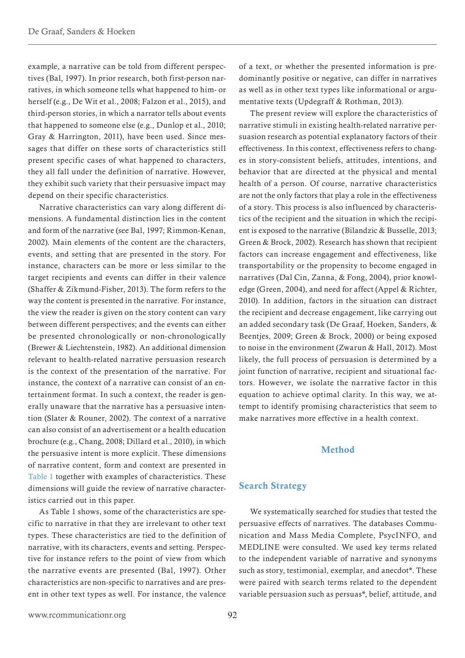<span id="page-4-0"></span>example, a narrative can be told from different perspectives (Bal, 1997). In prior research, both first-person narratives, in which someone tells what happened to him- or herself (e.g., De Wit et al., 2008; Falzon et al., 2015), and third-person stories, in which a narrator tells about events that happened to someone else (e.g., Dunlop et al., 2010; Gray & Harrington, 2011), have been used. Since messages that differ on these sorts of characteristics still present specific cases of what happened to characters, they all fall under the definition of narrative. However, they exhibit such variety that their persuasive impact may depend on their specific characteristics.

Narrative characteristics can vary along different dimensions. A fundamental distinction lies in the content and form of the narrative (see Bal, 1997; Rimmon-Kenan, 2002). Main elements of the content are the characters, events, and setting that are presented in the story. For instance, characters can be more or less similar to the target recipients and events can differ in their valence (Shaffer & Zikmund-Fisher, 2013). The form refers to the way the content is presented in the narrative. For instance, the view the reader is given on the story content can vary between different perspectives; and the events can either be presented chronologically or non-chronologically (Brewer & Liechtenstein, 1982). An additional dimension relevant to health-related narrative persuasion research is the context of the presentation of the narrative. For instance, the context of a narrative can consist of an entertainment format. In such a context, the reader is generally unaware that the narrative has a persuasive intention (Slater & Rouner, 2002). The context of a narrative can also consist of an advertisement or a health education brochure (e.g., Chang, 2008; Dillard et al., 2010), in which the persuasive intent is more explicit. These dimensions of narrative content, form and context are presented in [Table 1](#page-25-1) together with examples of characteristics. These dimensions will guide the review of narrative characteristics carried out in this paper.

As Table 1 shows, some of the characteristics are specific to narrative in that they are irrelevant to other text types. These characteristics are tied to the definition of narrative, with its characters, events and setting. Perspective for instance refers to the point of view from which the narrative events are presented (Bal, 1997). Other characteristics are non-specific to narratives and are present in other text types as well. For instance, the valence

of a text, or whether the presented information is predominantly positive or negative, can differ in narratives as well as in other text types like informational or argumentative texts (Updegraff & Rothman, 2013).

The present review will explore the characteristics of narrative stimuli in existing health-related narrative persuasion research as potential explanatory factors of their effectiveness. In this context, effectiveness refers to changes in story-consistent beliefs, attitudes, intentions, and behavior that are directed at the physical and mental health of a person. Of course, narrative characteristics are not the only factors that play a role in the effectiveness of a story. This process is also influenced by characteristics of the recipient and the situation in which the recipient is exposed to the narrative (Bilandzic & Busselle, 2013; Green & Brock, 2002). Research has shown that recipient factors can increase engagement and effectiveness, like transportability or the propensity to become engaged in narratives (Dal Cin, Zanna, & Fong, 2004), prior knowledge (Green, 2004), and need for affect (Appel & Richter, 2010). In addition, factors in the situation can distract the recipient and decrease engagement, like carrying out an added secondary task (De Graaf, Hoeken, Sanders, & Beentjes, 2009; Green & Brock, 2000) or being exposed to noise in the environment (Zwarun & Hall, 2012). Most likely, the full process of persuasion is determined by a joint function of narrative, recipient and situational factors. However, we isolate the narrative factor in this equation to achieve optimal clarity. In this way, we attempt to identify promising characteristics that seem to make narratives more effective in a health context.

# Method

### Search Strategy

We systematically searched for studies that tested the persuasive effects of narratives. The databases Communication and Mass Media Complete, PsycINFO, and MEDLINE were consulted. We used key terms related to the independent variable of narrative and synonyms such as story, testimonial, exemplar, and anecdot\*. These were paired with search terms related to the dependent variable persuasion such as persuas\*, belief, attitude, and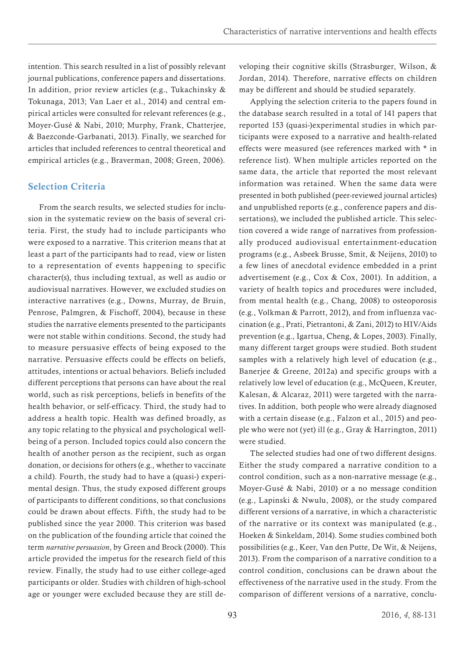<span id="page-5-0"></span>intention. This search resulted in a list of possibly relevant journal publications, conference papers and dissertations. In addition, prior review articles (e.g., Tukachinsky & Tokunaga, 2013; Van Laer et al., 2014) and central empirical articles were consulted for relevant references (e.g., Moyer-Gusé & Nabi, 2010; Murphy, Frank, Chatterjee, & Baezconde-Garbanati, 2013). Finally, we searched for articles that included references to central theoretical and empirical articles (e.g., Braverman, 2008; Green, 2006).

# Selection Criteria

From the search results, we selected studies for inclusion in the systematic review on the basis of several criteria. First, the study had to include participants who were exposed to a narrative. This criterion means that at least a part of the participants had to read, view or listen to a representation of events happening to specific character(s), thus including textual, as well as audio or audiovisual narratives. However, we excluded studies on interactive narratives (e.g., Downs, Murray, de Bruin, Penrose, Palmgren, & Fischoff, 2004), because in these studies the narrative elements presented to the participants were not stable within conditions. Second, the study had to measure persuasive effects of being exposed to the narrative. Persuasive effects could be effects on beliefs, attitudes, intentions or actual behaviors. Beliefs included different perceptions that persons can have about the real world, such as risk perceptions, beliefs in benefits of the health behavior, or self-efficacy. Third, the study had to address a health topic. Health was defined broadly, as any topic relating to the physical and psychological wellbeing of a person. Included topics could also concern the health of another person as the recipient, such as organ donation, or decisions for others (e.g., whether to vaccinate a child). Fourth, the study had to have a (quasi-) experimental design. Thus, the study exposed different groups of participants to different conditions, so that conclusions could be drawn about effects. Fifth, the study had to be published since the year 2000. This criterion was based on the publication of the founding article that coined the term *narrative persuasion*, by Green and Brock (2000). This article provided the impetus for the research field of this review. Finally, the study had to use either college-aged participants or older. Studies with children of high-school age or younger were excluded because they are still developing their cognitive skills (Strasburger, Wilson, & Jordan, 2014). Therefore, narrative effects on children may be different and should be studied separately.

Applying the selection criteria to the papers found in the database search resulted in a total of 141 papers that reported 153 (quasi-)experimental studies in which participants were exposed to a narrative and health-related effects were measured (see references marked with \* in reference list). When multiple articles reported on the same data, the article that reported the most relevant information was retained. When the same data were presented in both published (peer-reviewed journal articles) and unpublished reports (e.g., conference papers and dissertations), we included the published article. This selection covered a wide range of narratives from professionally produced audiovisual entertainment-education programs (e.g., Asbeek Brusse, Smit, & Neijens, 2010) to a few lines of anecdotal evidence embedded in a print advertisement (e.g., Cox & Cox, 2001). In addition, a variety of health topics and procedures were included, from mental health (e.g., Chang, 2008) to osteoporosis (e.g., Volkman & Parrott, 2012), and from influenza vaccination (e.g., Prati, Pietrantoni, & Zani, 2012) to HIV/Aids prevention (e.g., Igartua, Cheng, & Lopes, 2003). Finally, many different target groups were studied. Both student samples with a relatively high level of education (e.g., Banerjee & Greene, 2012a) and specific groups with a relatively low level of education (e.g., McQueen, Kreuter, Kalesan, & Alcaraz, 2011) were targeted with the narratives. In addition, both people who were already diagnosed with a certain disease (e.g., Falzon et al., 2015) and people who were not (yet) ill (e.g., Gray & Harrington, 2011) were studied.

The selected studies had one of two different designs. Either the study compared a narrative condition to a control condition, such as a non-narrative message (e.g., Moyer-Gusé & Nabi, 2010) or a no message condition (e.g., Lapinski & Nwulu, 2008), or the study compared different versions of a narrative, in which a characteristic of the narrative or its context was manipulated (e.g., Hoeken & Sinkeldam, 2014). Some studies combined both possibilities (e.g., Keer, Van den Putte, De Wit, & Neijens, 2013). From the comparison of a narrative condition to a control condition, conclusions can be drawn about the effectiveness of the narrative used in the study. From the comparison of different versions of a narrative, conclu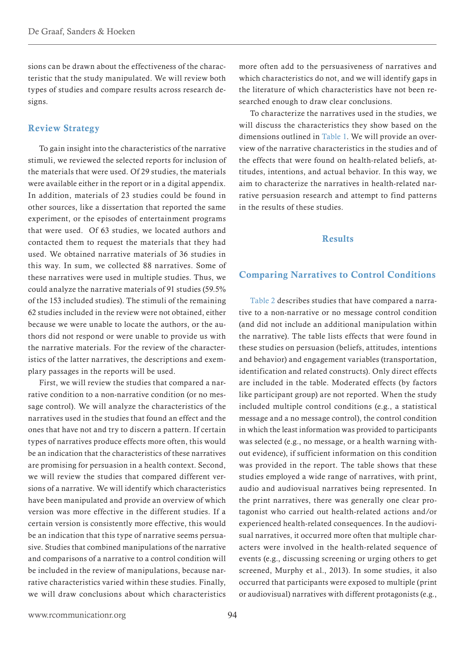<span id="page-6-0"></span>sions can be drawn about the effectiveness of the characteristic that the study manipulated. We will review both types of studies and compare results across research designs.

### Review Strategy

To gain insight into the characteristics of the narrative stimuli, we reviewed the selected reports for inclusion of the materials that were used. Of 29 studies, the materials were available either in the report or in a digital appendix. In addition, materials of 23 studies could be found in other sources, like a dissertation that reported the same experiment, or the episodes of entertainment programs that were used. Of 63 studies, we located authors and contacted them to request the materials that they had used. We obtained narrative materials of 36 studies in this way. In sum, we collected 88 narratives. Some of these narratives were used in multiple studies. Thus, we could analyze the narrative materials of 91 studies (59.5% of the 153 included studies). The stimuli of the remaining 62 studies included in the review were not obtained, either because we were unable to locate the authors, or the authors did not respond or were unable to provide us with the narrative materials. For the review of the characteristics of the latter narratives, the descriptions and exemplary passages in the reports will be used.

First, we will review the studies that compared a narrative condition to a non-narrative condition (or no message control). We will analyze the characteristics of the narratives used in the studies that found an effect and the ones that have not and try to discern a pattern. If certain types of narratives produce effects more often, this would be an indication that the characteristics of these narratives are promising for persuasion in a health context. Second, we will review the studies that compared different versions of a narrative. We will identify which characteristics have been manipulated and provide an overview of which version was more effective in the different studies. If a certain version is consistently more effective, this would be an indication that this type of narrative seems persuasive. Studies that combined manipulations of the narrative and comparisons of a narrative to a control condition will be included in the review of manipulations, because narrative characteristics varied within these studies. Finally, we will draw conclusions about which characteristics

<span id="page-6-2"></span>more often add to the persuasiveness of narratives and which characteristics do not, and we will identify gaps in the literature of which characteristics have not been researched enough to draw clear conclusions.

<span id="page-6-1"></span>To characterize the narratives used in the studies, we will discuss the characteristics they show based on the dimensions outlined in [Table 1.](#page-25-2) We will provide an overview of the narrative characteristics in the studies and of the effects that were found on health-related beliefs, attitudes, intentions, and actual behavior. In this way, we aim to characterize the narratives in health-related narrative persuasion research and attempt to find patterns in the results of these studies.

#### Results

#### Comparing Narratives to Control Conditions

[Table 2](#page-25-2) describes studies that have compared a narrative to a non-narrative or no message control condition (and did not include an additional manipulation within the narrative). The table lists effects that were found in these studies on persuasion (beliefs, attitudes, intentions and behavior) and engagement variables (transportation, identification and related constructs). Only direct effects are included in the table. Moderated effects (by factors like participant group) are not reported. When the study included multiple control conditions (e.g., a statistical message and a no message control), the control condition in which the least information was provided to participants was selected (e.g., no message, or a health warning without evidence), if sufficient information on this condition was provided in the report. The table shows that these studies employed a wide range of narratives, with print, audio and audiovisual narratives being represented. In the print narratives, there was generally one clear protagonist who carried out health-related actions and/or experienced health-related consequences. In the audiovisual narratives, it occurred more often that multiple characters were involved in the health-related sequence of events (e.g., discussing screening or urging others to get screened, Murphy et al., 2013). In some studies, it also occurred that participants were exposed to multiple (print or audiovisual) narratives with different protagonists (e.g.,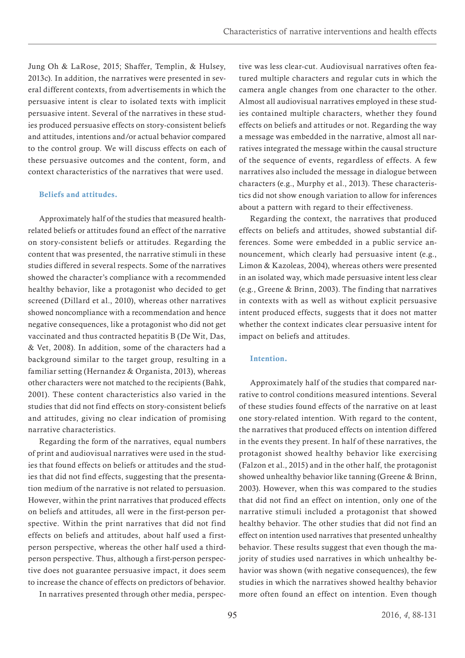<span id="page-7-0"></span>Jung Oh & LaRose, 2015; Shaffer, Templin, & Hulsey, 2013c). In addition, the narratives were presented in several different contexts, from advertisements in which the persuasive intent is clear to isolated texts with implicit persuasive intent. Several of the narratives in these studies produced persuasive effects on story-consistent beliefs and attitudes, intentions and/or actual behavior compared to the control group. We will discuss effects on each of these persuasive outcomes and the content, form, and context characteristics of the narratives that were used.

#### Beliefs and attitudes.

Approximately half of the studies that measured healthrelated beliefs or attitudes found an effect of the narrative on story-consistent beliefs or attitudes. Regarding the content that was presented, the narrative stimuli in these studies differed in several respects. Some of the narratives showed the character's compliance with a recommended healthy behavior, like a protagonist who decided to get screened (Dillard et al., 2010), whereas other narratives showed noncompliance with a recommendation and hence negative consequences, like a protagonist who did not get vaccinated and thus contracted hepatitis B (De Wit, Das, & Vet, 2008). In addition, some of the characters had a background similar to the target group, resulting in a familiar setting (Hernandez & Organista, 2013), whereas other characters were not matched to the recipients (Bahk, 2001). These content characteristics also varied in the studies that did not find effects on story-consistent beliefs and attitudes, giving no clear indication of promising narrative characteristics.

Regarding the form of the narratives, equal numbers of print and audiovisual narratives were used in the studies that found effects on beliefs or attitudes and the studies that did not find effects, suggesting that the presentation medium of the narrative is not related to persuasion. However, within the print narratives that produced effects on beliefs and attitudes, all were in the first-person perspective. Within the print narratives that did not find effects on beliefs and attitudes, about half used a firstperson perspective, whereas the other half used a thirdperson perspective. Thus, although a first-person perspective does not guarantee persuasive impact, it does seem to increase the chance of effects on predictors of behavior.

In narratives presented through other media, perspec-

tive was less clear-cut. Audiovisual narratives often featured multiple characters and regular cuts in which the camera angle changes from one character to the other. Almost all audiovisual narratives employed in these studies contained multiple characters, whether they found effects on beliefs and attitudes or not. Regarding the way a message was embedded in the narrative, almost all narratives integrated the message within the causal structure of the sequence of events, regardless of effects. A few narratives also included the message in dialogue between characters (e.g., Murphy et al., 2013). These characteristics did not show enough variation to allow for inferences about a pattern with regard to their effectiveness.

Regarding the context, the narratives that produced effects on beliefs and attitudes, showed substantial differences. Some were embedded in a public service announcement, which clearly had persuasive intent (e.g., Limon & Kazoleas, 2004), whereas others were presented in an isolated way, which made persuasive intent less clear (e.g., Greene & Brinn, 2003). The finding that narratives in contexts with as well as without explicit persuasive intent produced effects, suggests that it does not matter whether the context indicates clear persuasive intent for impact on beliefs and attitudes.

#### Intention.

Approximately half of the studies that compared narrative to control conditions measured intentions. Several of these studies found effects of the narrative on at least one story-related intention. With regard to the content, the narratives that produced effects on intention differed in the events they present. In half of these narratives, the protagonist showed healthy behavior like exercising (Falzon et al., 2015) and in the other half, the protagonist showed unhealthy behavior like tanning (Greene & Brinn, 2003). However, when this was compared to the studies that did not find an effect on intention, only one of the narrative stimuli included a protagonist that showed healthy behavior. The other studies that did not find an effect on intention used narratives that presented unhealthy behavior. These results suggest that even though the majority of studies used narratives in which unhealthy behavior was shown (with negative consequences), the few studies in which the narratives showed healthy behavior more often found an effect on intention. Even though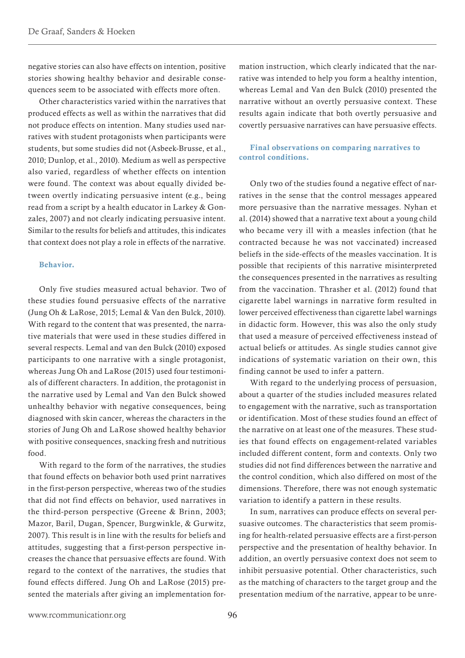<span id="page-8-0"></span>negative stories can also have effects on intention, positive stories showing healthy behavior and desirable consequences seem to be associated with effects more often.

Other characteristics varied within the narratives that produced effects as well as within the narratives that did not produce effects on intention. Many studies used narratives with student protagonists when participants were students, but some studies did not (Asbeek-Brusse, et al., 2010; Dunlop, et al., 2010). Medium as well as perspective also varied, regardless of whether effects on intention were found. The context was about equally divided between overtly indicating persuasive intent (e.g., being read from a script by a health educator in Larkey & Gonzales, 2007) and not clearly indicating persuasive intent. Similar to the results for beliefs and attitudes, this indicates that context does not play a role in effects of the narrative.

#### Behavior.

Only five studies measured actual behavior. Two of these studies found persuasive effects of the narrative (Jung Oh & LaRose, 2015; Lemal & Van den Bulck, 2010). With regard to the content that was presented, the narrative materials that were used in these studies differed in several respects. Lemal and van den Bulck (2010) exposed participants to one narrative with a single protagonist, whereas Jung Oh and LaRose (2015) used four testimonials of different characters. In addition, the protagonist in the narrative used by Lemal and Van den Bulck showed unhealthy behavior with negative consequences, being diagnosed with skin cancer, whereas the characters in the stories of Jung Oh and LaRose showed healthy behavior with positive consequences, snacking fresh and nutritious food.

With regard to the form of the narratives, the studies that found effects on behavior both used print narratives in the first-person perspective, whereas two of the studies that did not find effects on behavior, used narratives in the third-person perspective (Greene & Brinn, 2003; Mazor, Baril, Dugan, Spencer, Burgwinkle, & Gurwitz, 2007). This result is in line with the results for beliefs and attitudes, suggesting that a first-person perspective increases the chance that persuasive effects are found. With regard to the context of the narratives, the studies that found effects differed. Jung Oh and LaRose (2015) presented the materials after giving an implementation formation instruction, which clearly indicated that the narrative was intended to help you form a healthy intention, whereas Lemal and Van den Bulck (2010) presented the narrative without an overtly persuasive context. These results again indicate that both overtly persuasive and covertly persuasive narratives can have persuasive effects.

#### Final observations on comparing narratives to control conditions.

Only two of the studies found a negative effect of narratives in the sense that the control messages appeared more persuasive than the narrative messages. Nyhan et al. (2014) showed that a narrative text about a young child who became very ill with a measles infection (that he contracted because he was not vaccinated) increased beliefs in the side-effects of the measles vaccination. It is possible that recipients of this narrative misinterpreted the consequences presented in the narratives as resulting from the vaccination. Thrasher et al. (2012) found that cigarette label warnings in narrative form resulted in lower perceived effectiveness than cigarette label warnings in didactic form. However, this was also the only study that used a measure of perceived effectiveness instead of actual beliefs or attitudes. As single studies cannot give indications of systematic variation on their own, this finding cannot be used to infer a pattern.

With regard to the underlying process of persuasion, about a quarter of the studies included measures related to engagement with the narrative, such as transportation or identification. Most of these studies found an effect of the narrative on at least one of the measures. These studies that found effects on engagement-related variables included different content, form and contexts. Only two studies did not find differences between the narrative and the control condition, which also differed on most of the dimensions. Therefore, there was not enough systematic variation to identify a pattern in these results.

In sum, narratives can produce effects on several persuasive outcomes. The characteristics that seem promising for health-related persuasive effects are a first-person perspective and the presentation of healthy behavior. In addition, an overtly persuasive context does not seem to inhibit persuasive potential. Other characteristics, such as the matching of characters to the target group and the presentation medium of the narrative, appear to be unre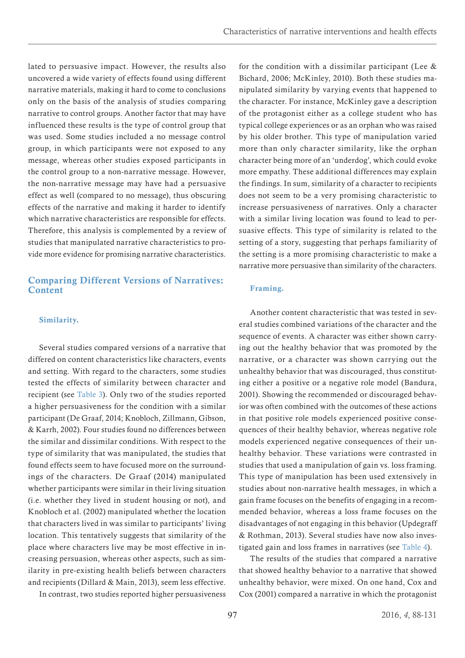<span id="page-9-0"></span>lated to persuasive impact. However, the results also uncovered a wide variety of effects found using different narrative materials, making it hard to come to conclusions only on the basis of the analysis of studies comparing narrative to control groups. Another factor that may have influenced these results is the type of control group that was used. Some studies included a no message control group, in which participants were not exposed to any message, whereas other studies exposed participants in the control group to a non-narrative message. However, the non-narrative message may have had a persuasive effect as well (compared to no message), thus obscuring effects of the narrative and making it harder to identify which narrative characteristics are responsible for effects. Therefore, this analysis is complemented by a review of studies that manipulated narrative characteristics to provide more evidence for promising narrative characteristics.

## <span id="page-9-1"></span>Comparing Different Versions of Narratives: **Content**

#### Similarity.

Several studies compared versions of a narrative that differed on content characteristics like characters, events and setting. With regard to the characters, some studies tested the effects of similarity between character and recipient (see [Table 3](#page-32-0)). Only two of the studies reported a higher persuasiveness for the condition with a similar participant (De Graaf, 2014; Knobloch, Zillmann, Gibson, & Karrh, 2002). Four studies found no differences between the similar and dissimilar conditions. With respect to the type of similarity that was manipulated, the studies that found effects seem to have focused more on the surroundings of the characters. De Graaf (2014) manipulated whether participants were similar in their living situation (i.e. whether they lived in student housing or not), and Knobloch et al. (2002) manipulated whether the location that characters lived in was similar to participants' living location. This tentatively suggests that similarity of the place where characters live may be most effective in increasing persuasion, whereas other aspects, such as similarity in pre-existing health beliefs between characters and recipients (Dillard & Main, 2013), seem less effective.

In contrast, two studies reported higher persuasiveness

for the condition with a dissimilar participant (Lee & Bichard, 2006; McKinley, 2010). Both these studies manipulated similarity by varying events that happened to the character. For instance, McKinley gave a description of the protagonist either as a college student who has typical college experiences or as an orphan who was raised by his older brother. This type of manipulation varied more than only character similarity, like the orphan character being more of an 'underdog', which could evoke more empathy. These additional differences may explain the findings. In sum, similarity of a character to recipients does not seem to be a very promising characteristic to increase persuasiveness of narratives. Only a character with a similar living location was found to lead to persuasive effects. This type of similarity is related to the setting of a story, suggesting that perhaps familiarity of the setting is a more promising characteristic to make a narrative more persuasive than similarity of the characters.

#### Framing.

<span id="page-9-2"></span>Another content characteristic that was tested in several studies combined variations of the character and the sequence of events. A character was either shown carrying out the healthy behavior that was promoted by the narrative, or a character was shown carrying out the unhealthy behavior that was discouraged, thus constituting either a positive or a negative role model (Bandura, 2001). Showing the recommended or discouraged behavior was often combined with the outcomes of these actions in that positive role models experienced positive consequences of their healthy behavior, whereas negative role models experienced negative consequences of their unhealthy behavior. These variations were contrasted in studies that used a manipulation of gain vs. loss framing. This type of manipulation has been used extensively in studies about non-narrative health messages, in which a gain frame focuses on the benefits of engaging in a recommended behavior, whereas a loss frame focuses on the disadvantages of not engaging in this behavior (Updegraff & Rothman, 2013). Several studies have now also investigated gain and loss frames in narratives (see [Table 4](#page-34-0)).

The results of the studies that compared a narrative that showed healthy behavior to a narrative that showed unhealthy behavior, were mixed. On one hand, Cox and Cox (2001) compared a narrative in which the protagonist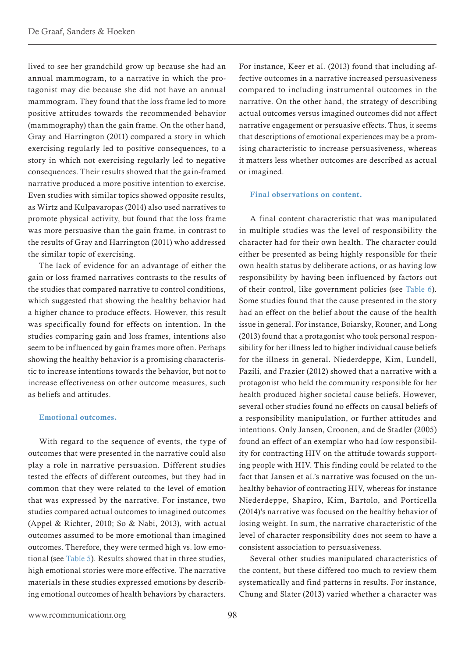<span id="page-10-0"></span>lived to see her grandchild grow up because she had an annual mammogram, to a narrative in which the protagonist may die because she did not have an annual mammogram. They found that the loss frame led to more positive attitudes towards the recommended behavior (mammography) than the gain frame. On the other hand, Gray and Harrington (2011) compared a story in which exercising regularly led to positive consequences, to a story in which not exercising regularly led to negative consequences. Their results showed that the gain-framed narrative produced a more positive intention to exercise. Even studies with similar topics showed opposite results, as Wirtz and Kulpavaropas (2014) also used narratives to promote physical activity, but found that the loss frame was more persuasive than the gain frame, in contrast to the results of Gray and Harrington (2011) who addressed the similar topic of exercising.

The lack of evidence for an advantage of either the gain or loss framed narratives contrasts to the results of the studies that compared narrative to control conditions, which suggested that showing the healthy behavior had a higher chance to produce effects. However, this result was specifically found for effects on intention. In the studies comparing gain and loss frames, intentions also seem to be influenced by gain frames more often. Perhaps showing the healthy behavior is a promising characteristic to increase intentions towards the behavior, but not to increase effectiveness on other outcome measures, such as beliefs and attitudes.

#### <span id="page-10-1"></span>Emotional outcomes.

With regard to the sequence of events, the type of outcomes that were presented in the narrative could also play a role in narrative persuasion. Different studies tested the effects of different outcomes, but they had in common that they were related to the level of emotion that was expressed by the narrative. For instance, two studies compared actual outcomes to imagined outcomes (Appel & Richter, 2010; So & Nabi, 2013), with actual outcomes assumed to be more emotional than imagined outcomes. Therefore, they were termed high vs. low emotional (see [Table 5\)](#page-36-0). Results showed that in three studies, high emotional stories were more effective. The narrative materials in these studies expressed emotions by describing emotional outcomes of health behaviors by characters.

<span id="page-10-2"></span>For instance, Keer et al. (2013) found that including affective outcomes in a narrative increased persuasiveness compared to including instrumental outcomes in the narrative. On the other hand, the strategy of describing actual outcomes versus imagined outcomes did not affect narrative engagement or persuasive effects. Thus, it seems that descriptions of emotional experiences may be a promising characteristic to increase persuasiveness, whereas it matters less whether outcomes are described as actual or imagined.

#### Final observations on content.

A final content characteristic that was manipulated in multiple studies was the level of responsibility the character had for their own health. The character could either be presented as being highly responsible for their own health status by deliberate actions, or as having low responsibility by having been influenced by factors out of their control, like government policies (see [Table 6](#page-38-0)). Some studies found that the cause presented in the story had an effect on the belief about the cause of the health issue in general. For instance, Boiarsky, Rouner, and Long (2013) found that a protagonist who took personal responsibility for her illness led to higher individual cause beliefs for the illness in general. Niederdeppe, Kim, Lundell, Fazili, and Frazier (2012) showed that a narrative with a protagonist who held the community responsible for her health produced higher societal cause beliefs. However, several other studies found no effects on causal beliefs of a responsibility manipulation, or further attitudes and intentions. Only Jansen, Croonen, and de Stadler (2005) found an effect of an exemplar who had low responsibility for contracting HIV on the attitude towards supporting people with HIV. This finding could be related to the fact that Jansen et al.'s narrative was focused on the unhealthy behavior of contracting HIV, whereas for instance Niederdeppe, Shapiro, Kim, Bartolo, and Porticella (2014)'s narrative was focused on the healthy behavior of losing weight. In sum, the narrative characteristic of the level of character responsibility does not seem to have a consistent association to persuasiveness.

Several other studies manipulated characteristics of the content, but these differed too much to review them systematically and find patterns in results. For instance, Chung and Slater (2013) varied whether a character was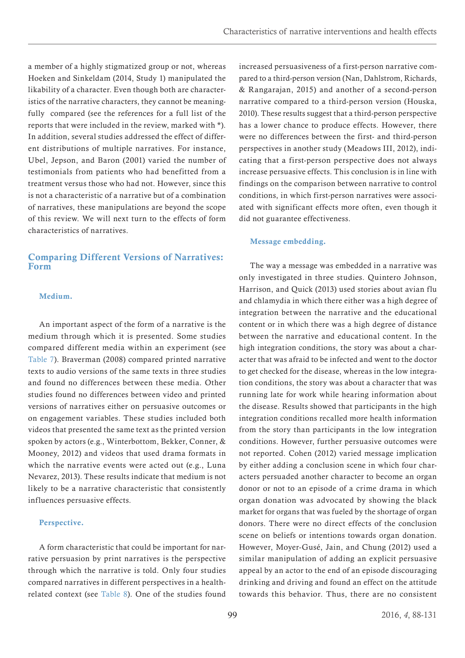<span id="page-11-0"></span>a member of a highly stigmatized group or not, whereas Hoeken and Sinkeldam (2014, Study 1) manipulated the likability of a character. Even though both are characteristics of the narrative characters, they cannot be meaningfully compared (see the references for a full list of the reports that were included in the review, marked with \*). In addition, several studies addressed the effect of different distributions of multiple narratives. For instance, Ubel, Jepson, and Baron (2001) varied the number of testimonials from patients who had benefitted from a treatment versus those who had not. However, since this is not a characteristic of a narrative but of a combination of narratives, these manipulations are beyond the scope of this review. We will next turn to the effects of form characteristics of narratives.

# <span id="page-11-1"></span>Comparing Different Versions of Narratives: Form

#### Medium.

<span id="page-11-2"></span>An important aspect of the form of a narrative is the medium through which it is presented. Some studies compared different media within an experiment (see [Table 7](#page-40-0)). Braverman (2008) compared printed narrative texts to audio versions of the same texts in three studies and found no differences between these media. Other studies found no differences between video and printed versions of narratives either on persuasive outcomes or on engagement variables. These studies included both videos that presented the same text as the printed version spoken by actors (e.g., Winterbottom, Bekker, Conner, & Mooney, 2012) and videos that used drama formats in which the narrative events were acted out (e.g., Luna Nevarez, 2013). These results indicate that medium is not likely to be a narrative characteristic that consistently influences persuasive effects.

#### Perspective.

A form characteristic that could be important for narrative persuasion by print narratives is the perspective through which the narrative is told. Only four studies compared narratives in different perspectives in a healthrelated context (see [Table 8](#page-41-0)). One of the studies found increased persuasiveness of a first-person narrative compared to a third-person version (Nan, Dahlstrom, Richards, & Rangarajan, 2015) and another of a second-person narrative compared to a third-person version (Houska, 2010). These results suggest that a third-person perspective has a lower chance to produce effects. However, there were no differences between the first- and third-person perspectives in another study (Meadows III, 2012), indicating that a first-person perspective does not always increase persuasive effects. This conclusion is in line with findings on the comparison between narrative to control conditions, in which first-person narratives were associated with significant effects more often, even though it did not guarantee effectiveness.

#### Message embedding.

The way a message was embedded in a narrative was only investigated in three studies. Quintero Johnson, Harrison, and Quick (2013) used stories about avian flu and chlamydia in which there either was a high degree of integration between the narrative and the educational content or in which there was a high degree of distance between the narrative and educational content. In the high integration conditions, the story was about a character that was afraid to be infected and went to the doctor to get checked for the disease, whereas in the low integration conditions, the story was about a character that was running late for work while hearing information about the disease. Results showed that participants in the high integration conditions recalled more health information from the story than participants in the low integration conditions. However, further persuasive outcomes were not reported. Cohen (2012) varied message implication by either adding a conclusion scene in which four characters persuaded another character to become an organ donor or not to an episode of a crime drama in which organ donation was advocated by showing the black market for organs that was fueled by the shortage of organ donors. There were no direct effects of the conclusion scene on beliefs or intentions towards organ donation. However, Moyer-Gusé, Jain, and Chung (2012) used a similar manipulation of adding an explicit persuasive appeal by an actor to the end of an episode discouraging drinking and driving and found an effect on the attitude towards this behavior. Thus, there are no consistent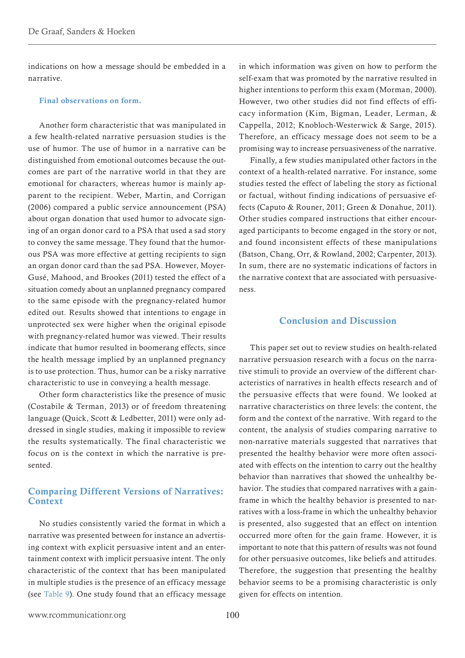<span id="page-12-0"></span>indications on how a message should be embedded in a narrative.

#### Final observations on form.

Another form characteristic that was manipulated in a few health-related narrative persuasion studies is the use of humor. The use of humor in a narrative can be distinguished from emotional outcomes because the outcomes are part of the narrative world in that they are emotional for characters, whereas humor is mainly apparent to the recipient. Weber, Martin, and Corrigan (2006) compared a public service announcement (PSA) about organ donation that used humor to advocate signing of an organ donor card to a PSA that used a sad story to convey the same message. They found that the humorous PSA was more effective at getting recipients to sign an organ donor card than the sad PSA. However, Moyer-Gusé, Mahood, and Brookes (2011) tested the effect of a situation comedy about an unplanned pregnancy compared to the same episode with the pregnancy-related humor edited out. Results showed that intentions to engage in unprotected sex were higher when the original episode with pregnancy-related humor was viewed. Their results indicate that humor resulted in boomerang effects, since the health message implied by an unplanned pregnancy is to use protection. Thus, humor can be a risky narrative characteristic to use in conveying a health message.

<span id="page-12-1"></span>Other form characteristics like the presence of music (Costabile & Terman, 2013) or of freedom threatening language (Quick, Scott & Ledbetter, 2011) were only addressed in single studies, making it impossible to review the results systematically. The final characteristic we focus on is the context in which the narrative is presented.

### Comparing Different Versions of Narratives: **Context**

No studies consistently varied the format in which a narrative was presented between for instance an advertising context with explicit persuasive intent and an entertainment context with implicit persuasive intent. The only characteristic of the context that has been manipulated in multiple studies is the presence of an efficacy message (see [Table 9\)](#page-42-0). One study found that an efficacy message in which information was given on how to perform the self-exam that was promoted by the narrative resulted in higher intentions to perform this exam (Morman, 2000). However, two other studies did not find effects of efficacy information (Kim, Bigman, Leader, Lerman, & Cappella, 2012; Knobloch-Westerwick & Sarge, 2015). Therefore, an efficacy message does not seem to be a promising way to increase persuasiveness of the narrative.

Finally, a few studies manipulated other factors in the context of a health-related narrative. For instance, some studies tested the effect of labeling the story as fictional or factual, without finding indications of persuasive effects (Caputo & Rouner, 2011; Green & Donahue, 2011). Other studies compared instructions that either encouraged participants to become engaged in the story or not, and found inconsistent effects of these manipulations (Batson, Chang, Orr, & Rowland, 2002; Carpenter, 2013). In sum, there are no systematic indications of factors in the narrative context that are associated with persuasiveness.

# Conclusion and Discussion

This paper set out to review studies on health-related narrative persuasion research with a focus on the narrative stimuli to provide an overview of the different characteristics of narratives in health effects research and of the persuasive effects that were found. We looked at narrative characteristics on three levels: the content, the form and the context of the narrative. With regard to the content, the analysis of studies comparing narrative to non-narrative materials suggested that narratives that presented the healthy behavior were more often associated with effects on the intention to carry out the healthy behavior than narratives that showed the unhealthy behavior. The studies that compared narratives with a gainframe in which the healthy behavior is presented to narratives with a loss-frame in which the unhealthy behavior is presented, also suggested that an effect on intention occurred more often for the gain frame. However, it is important to note that this pattern of results was not found for other persuasive outcomes, like beliefs and attitudes. Therefore, the suggestion that presenting the healthy behavior seems to be a promising characteristic is only given for effects on intention.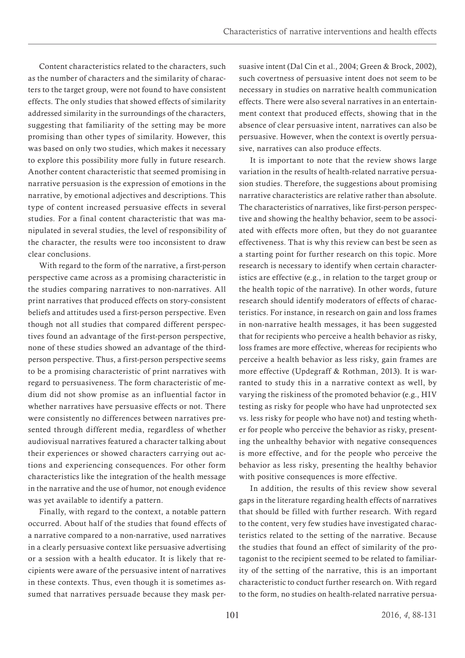Content characteristics related to the characters, such as the number of characters and the similarity of characters to the target group, were not found to have consistent effects. The only studies that showed effects of similarity addressed similarity in the surroundings of the characters, suggesting that familiarity of the setting may be more promising than other types of similarity. However, this was based on only two studies, which makes it necessary to explore this possibility more fully in future research. Another content characteristic that seemed promising in narrative persuasion is the expression of emotions in the narrative, by emotional adjectives and descriptions. This type of content increased persuasive effects in several studies. For a final content characteristic that was manipulated in several studies, the level of responsibility of the character, the results were too inconsistent to draw clear conclusions.

With regard to the form of the narrative, a first-person perspective came across as a promising characteristic in the studies comparing narratives to non-narratives. All print narratives that produced effects on story-consistent beliefs and attitudes used a first-person perspective. Even though not all studies that compared different perspectives found an advantage of the first-person perspective, none of these studies showed an advantage of the thirdperson perspective. Thus, a first-person perspective seems to be a promising characteristic of print narratives with regard to persuasiveness. The form characteristic of medium did not show promise as an influential factor in whether narratives have persuasive effects or not. There were consistently no differences between narratives presented through different media, regardless of whether audiovisual narratives featured a character talking about their experiences or showed characters carrying out actions and experiencing consequences. For other form characteristics like the integration of the health message in the narrative and the use of humor, not enough evidence was yet available to identify a pattern.

Finally, with regard to the context, a notable pattern occurred. About half of the studies that found effects of a narrative compared to a non-narrative, used narratives in a clearly persuasive context like persuasive advertising or a session with a health educator. It is likely that recipients were aware of the persuasive intent of narratives in these contexts. Thus, even though it is sometimes assumed that narratives persuade because they mask persuasive intent (Dal Cin et al., 2004; Green & Brock, 2002), such covertness of persuasive intent does not seem to be necessary in studies on narrative health communication effects. There were also several narratives in an entertainment context that produced effects, showing that in the absence of clear persuasive intent, narratives can also be persuasive. However, when the context is overtly persuasive, narratives can also produce effects.

It is important to note that the review shows large variation in the results of health-related narrative persuasion studies. Therefore, the suggestions about promising narrative characteristics are relative rather than absolute. The characteristics of narratives, like first-person perspective and showing the healthy behavior, seem to be associated with effects more often, but they do not guarantee effectiveness. That is why this review can best be seen as a starting point for further research on this topic. More research is necessary to identify when certain characteristics are effective (e.g., in relation to the target group or the health topic of the narrative). In other words, future research should identify moderators of effects of characteristics. For instance, in research on gain and loss frames in non-narrative health messages, it has been suggested that for recipients who perceive a health behavior as risky, loss frames are more effective, whereas for recipients who perceive a health behavior as less risky, gain frames are more effective (Updegraff & Rothman, 2013). It is warranted to study this in a narrative context as well, by varying the riskiness of the promoted behavior (e.g., HIV testing as risky for people who have had unprotected sex vs. less risky for people who have not) and testing whether for people who perceive the behavior as risky, presenting the unhealthy behavior with negative consequences is more effective, and for the people who perceive the behavior as less risky, presenting the healthy behavior with positive consequences is more effective.

In addition, the results of this review show several gaps in the literature regarding health effects of narratives that should be filled with further research. With regard to the content, very few studies have investigated characteristics related to the setting of the narrative. Because the studies that found an effect of similarity of the protagonist to the recipient seemed to be related to familiarity of the setting of the narrative, this is an important characteristic to conduct further research on. With regard to the form, no studies on health-related narrative persua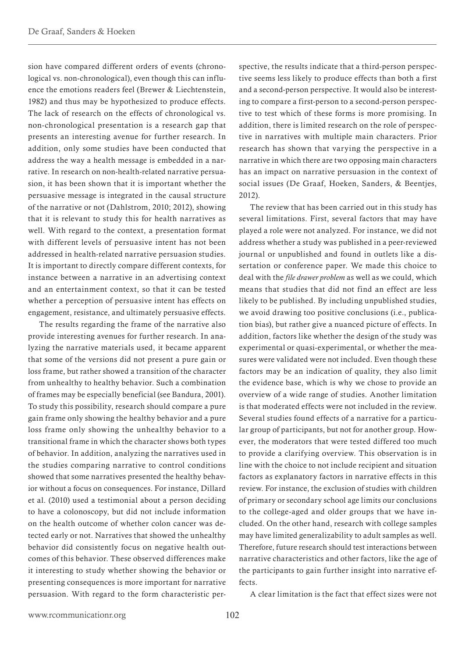sion have compared different orders of events (chronological vs. non-chronological), even though this can influence the emotions readers feel (Brewer & Liechtenstein, 1982) and thus may be hypothesized to produce effects. The lack of research on the effects of chronological vs. non-chronological presentation is a research gap that presents an interesting avenue for further research. In addition, only some studies have been conducted that address the way a health message is embedded in a narrative. In research on non-health-related narrative persuasion, it has been shown that it is important whether the persuasive message is integrated in the causal structure of the narrative or not (Dahlstrom, 2010; 2012), showing that it is relevant to study this for health narratives as well. With regard to the context, a presentation format with different levels of persuasive intent has not been addressed in health-related narrative persuasion studies. It is important to directly compare different contexts, for instance between a narrative in an advertising context and an entertainment context, so that it can be tested whether a perception of persuasive intent has effects on engagement, resistance, and ultimately persuasive effects.

The results regarding the frame of the narrative also provide interesting avenues for further research. In analyzing the narrative materials used, it became apparent that some of the versions did not present a pure gain or loss frame, but rather showed a transition of the character from unhealthy to healthy behavior. Such a combination of frames may be especially beneficial (see Bandura, 2001). To study this possibility, research should compare a pure gain frame only showing the healthy behavior and a pure loss frame only showing the unhealthy behavior to a transitional frame in which the character shows both types of behavior. In addition, analyzing the narratives used in the studies comparing narrative to control conditions showed that some narratives presented the healthy behavior without a focus on consequences. For instance, Dillard et al. (2010) used a testimonial about a person deciding to have a colonoscopy, but did not include information on the health outcome of whether colon cancer was detected early or not. Narratives that showed the unhealthy behavior did consistently focus on negative health outcomes of this behavior. These observed differences make it interesting to study whether showing the behavior or presenting consequences is more important for narrative persuasion. With regard to the form characteristic perspective, the results indicate that a third-person perspective seems less likely to produce effects than both a first and a second-person perspective. It would also be interesting to compare a first-person to a second-person perspective to test which of these forms is more promising. In addition, there is limited research on the role of perspective in narratives with multiple main characters. Prior research has shown that varying the perspective in a narrative in which there are two opposing main characters has an impact on narrative persuasion in the context of social issues (De Graaf, Hoeken, Sanders, & Beentjes, 2012).

The review that has been carried out in this study has several limitations. First, several factors that may have played a role were not analyzed. For instance, we did not address whether a study was published in a peer-reviewed journal or unpublished and found in outlets like a dissertation or conference paper. We made this choice to deal with the *file drawer problem* as well as we could, which means that studies that did not find an effect are less likely to be published. By including unpublished studies, we avoid drawing too positive conclusions (i.e., publication bias), but rather give a nuanced picture of effects. In addition, factors like whether the design of the study was experimental or quasi-experimental, or whether the measures were validated were not included. Even though these factors may be an indication of quality, they also limit the evidence base, which is why we chose to provide an overview of a wide range of studies. Another limitation is that moderated effects were not included in the review. Several studies found effects of a narrative for a particular group of participants, but not for another group. However, the moderators that were tested differed too much to provide a clarifying overview. This observation is in line with the choice to not include recipient and situation factors as explanatory factors in narrative effects in this review. For instance, the exclusion of studies with children of primary or secondary school age limits our conclusions to the college-aged and older groups that we have included. On the other hand, research with college samples may have limited generalizability to adult samples as well. Therefore, future research should test interactions between narrative characteristics and other factors, like the age of the participants to gain further insight into narrative effects.

A clear limitation is the fact that effect sizes were not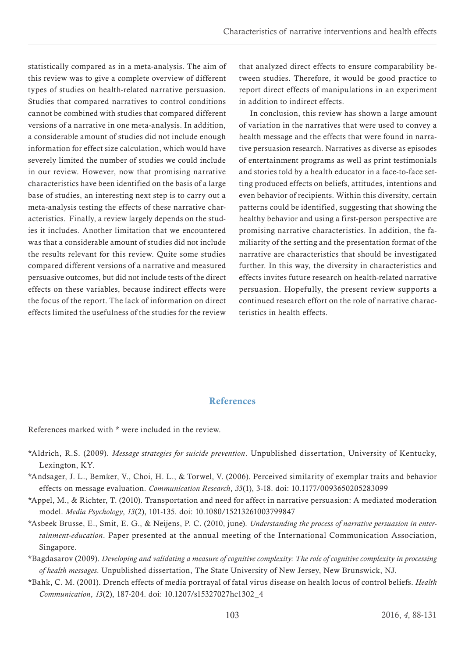<span id="page-15-0"></span>statistically compared as in a meta-analysis. The aim of this review was to give a complete overview of different types of studies on health-related narrative persuasion. Studies that compared narratives to control conditions cannot be combined with studies that compared different versions of a narrative in one meta-analysis. In addition, a considerable amount of studies did not include enough information for effect size calculation, which would have severely limited the number of studies we could include in our review. However, now that promising narrative characteristics have been identified on the basis of a large base of studies, an interesting next step is to carry out a meta-analysis testing the effects of these narrative characteristics. Finally, a review largely depends on the studies it includes. Another limitation that we encountered was that a considerable amount of studies did not include the results relevant for this review. Quite some studies compared different versions of a narrative and measured persuasive outcomes, but did not include tests of the direct effects on these variables, because indirect effects were the focus of the report. The lack of information on direct effects limited the usefulness of the studies for the review that analyzed direct effects to ensure comparability between studies. Therefore, it would be good practice to report direct effects of manipulations in an experiment in addition to indirect effects.

In conclusion, this review has shown a large amount of variation in the narratives that were used to convey a health message and the effects that were found in narrative persuasion research. Narratives as diverse as episodes of entertainment programs as well as print testimonials and stories told by a health educator in a face-to-face setting produced effects on beliefs, attitudes, intentions and even behavior of recipients. Within this diversity, certain patterns could be identified, suggesting that showing the healthy behavior and using a first-person perspective are promising narrative characteristics. In addition, the familiarity of the setting and the presentation format of the narrative are characteristics that should be investigated further. In this way, the diversity in characteristics and effects invites future research on health-related narrative persuasion. Hopefully, the present review supports a continued research effort on the role of narrative characteristics in health effects.

### References

References marked with \* were included in the review.

- \*Aldrich, R.S. (2009). *Message strategies for suicide prevention*. Unpublished dissertation, University of Kentucky, Lexington, KY.
- \*Andsager, J. L., Bemker, V., Choi, H. L., & Torwel, V. (2006). Perceived similarity of exemplar traits and behavior effects on message evaluation. *Communication Research*, *33*(1), 3-18. doi: 10.1177/0093650205283099
- \*Appel, M., & Richter, T. (2010). Transportation and need for affect in narrative persuasion: A mediated moderation model. *Media Psychology*, *13*(2), 101-135. doi: 10.1080/15213261003799847
- \*Asbeek Brusse, E., Smit, E. G., & Neijens, P. C. (2010, june). *Understanding the process of narrative persuasion in entertainment-education*. Paper presented at the annual meeting of the International Communication Association, Singapore.
- \*Bagdasarov (2009). *Developing and validating a measure of cognitive complexity: The role of cognitive complexity in processing of health messages*. Unpublished dissertation, The State University of New Jersey, New Brunswick, NJ.
- \*Bahk, C. M. (2001). Drench effects of media portrayal of fatal virus disease on health locus of control beliefs. *Health Communication*, *13*(2), 187-204. doi: 10.1207/s15327027hc1302\_4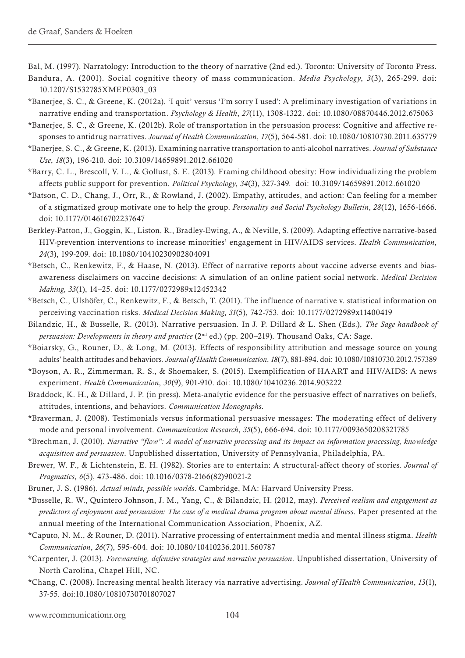Bal, M. (1997). Narratology: Introduction to the theory of narrative (2nd ed.). Toronto: University of Toronto Press. Bandura, A. (2001). Social cognitive theory of mass communication. *Media Psychology*, *3*(3), 265-299. doi:

- 10.1207/S1532785XMEP0303\_03
- \*Banerjee, S. C., & Greene, K. (2012a). 'I quit' versus 'I'm sorry I used': A preliminary investigation of variations in narrative ending and transportation. *Psychology & Health*, *27*(11), 1308-1322. doi: 10.1080/08870446.2012.675063
- \*Banerjee, S. C., & Greene, K. (2012b). Role of transportation in the persuasion process: Cognitive and affective responses to antidrug narratives. *Journal of Health Communication*, *17*(5), 564-581. doi: 10.1080/10810730.2011.635779
- \*Banerjee, S. C., & Greene, K. (2013). Examining narrative transportation to anti-alcohol narratives. *Journal of Substance Use*, *18*(3), 196-210. doi: 10.3109/14659891.2012.661020
- \*Barry, C. L., Brescoll, V. L., & Gollust, S. E. (2013). Framing childhood obesity: How individualizing the problem affects public support for prevention. *Political Psychology*, *34*(3), 327-349. doi: 10.3109/14659891.2012.661020
- \*Batson, C. D., Chang, J., Orr, R., & Rowland, J. (2002). Empathy, attitudes, and action: Can feeling for a member of a stigmatized group motivate one to help the group. *Personality and Social Psychology Bulletin*, *28*(12), 1656-1666. doi: 10.1177/014616702237647
- Berkley-Patton, J., Goggin, K., Liston, R., Bradley-Ewing, A., & Neville, S. (2009). Adapting effective narrative-based HIV-prevention interventions to increase minorities' engagement in HIV/AIDS services. *Health Communication*, *24*(3), 199-209. doi: 10.1080/10410230902804091
- \*Betsch, C., Renkewitz, F., & Haase, N. (2013). Effect of narrative reports about vaccine adverse events and biasawareness disclaimers on vaccine decisions: A simulation of an online patient social network. *Medical Decision Making*, *33*(1), 14–25. doi: 10.1177/0272989x12452342
- \*Betsch, C., Ulshöfer, C., Renkewitz, F., & Betsch, T. (2011). The influence of narrative v. statistical information on perceiving vaccination risks. *Medical Decision Making*, *31*(5), 742-753. doi: 10.1177/0272989x11400419
- Bilandzic, H., & Busselle, R. (2013). Narrative persuasion. In J. P. Dillard & L. Shen (Eds.), *The Sage handbook of persuasion: Developments in theory and practice* (2nd ed.) (pp. 200–219). Thousand Oaks, CA: Sage.
- \*Boiarsky, G., Rouner, D., & Long, M. (2013). Effects of responsibility attribution and message source on young adults' health attitudes and behaviors. *Journal of Health Communication*, *18*(7), 881-894. doi: 10.1080/10810730.2012.757389
- \*Boyson, A. R., Zimmerman, R. S., & Shoemaker, S. (2015). Exemplification of HAART and HIV/AIDS: A news experiment. *Health Communication*, *30*(9), 901-910. doi: 10.1080/10410236.2014.903222
- Braddock, K. H., & Dillard, J. P. (in press). Meta-analytic evidence for the persuasive effect of narratives on beliefs, attitudes, intentions, and behaviors. *Communication Monographs*.
- \*Braverman, J. (2008). Testimonials versus informational persuasive messages: The moderating effect of delivery mode and personal involvement. *Communication Research*, *35*(5), 666-694. doi: 10.1177/0093650208321785
- \*Brechman, J. (2010). *Narrative "flow": A model of narrative processing and its impact on information processing, knowledge acquisition and persuasion*. Unpublished dissertation, University of Pennsylvania, Philadelphia, PA.
- Brewer, W. F., & Lichtenstein, E. H. (1982). Stories are to entertain: A structural-affect theory of stories. *Journal of Pragmatics*, *6*(5), 473-486. doi: 10.1016/0378-2166(82)90021-2
- Bruner, J. S. (1986). *Actual minds, possible worlds*. Cambridge, MA: Harvard University Press.
- \*Busselle, R. W., Quintero Johnson, J. M., Yang, C., & Bilandzic, H. (2012, may). *Perceived realism and engagement as predictors of enjoyment and persuasion: The case of a medical drama program about mental illness*. Paper presented at the annual meeting of the International Communication Association, Phoenix, AZ.
- \*Caputo, N. M., & Rouner, D. (2011). Narrative processing of entertainment media and mental illness stigma. *Health Communication*, *26*(7), 595-604. doi: 10.1080/10410236.2011.560787
- \*Carpenter, J. (2013). *Forewarning, defensive strategies and narrative persuasion*. Unpublished dissertation, University of North Carolina, Chapel Hill, NC.
- \*Chang, C. (2008). Increasing mental health literacy via narrative advertising. *Journal of Health Communication*, *13*(1), 37-55. doi:10.1080/10810730701807027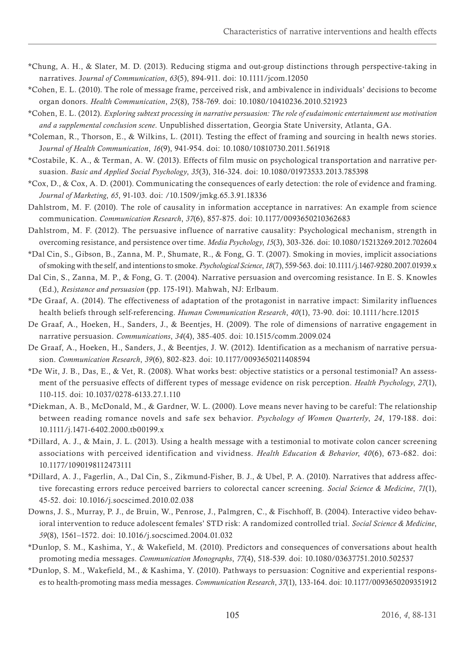- \*Chung, A. H., & Slater, M. D. (2013). Reducing stigma and out-group distinctions through perspective-taking in narratives. J*ournal of Communication*, *63*(5), 894-911. doi: 10.1111/jcom.12050
- \*Cohen, E. L. (2010). The role of message frame, perceived risk, and ambivalence in individuals' decisions to become organ donors. *Health Communication*, *25*(8), 758-769. doi: 10.1080/10410236.2010.521923
- \*Cohen, E. L. (2012). *Exploring subtext processing in narrative persuasion: The role of eudaimonic entertainment use motivation and a supplemental conclusion scene*. Unpublished dissertation, Georgia State University, Atlanta, GA.
- \*Coleman, R., Thorson, E., & Wilkins, L. (2011). Testing the effect of framing and sourcing in health news stories. J*ournal of Health Communication*, *16*(9), 941-954. doi: 10.1080/10810730.2011.561918
- \*Costabile, K. A., & Terman, A. W. (2013). Effects of film music on psychological transportation and narrative persuasion. *Basic and Applied Social Psychology*, *35*(3), 316-324. doi: 10.1080/01973533.2013.785398
- \*Cox, D., & Cox, A. D. (2001). Communicating the consequences of early detection: the role of evidence and framing. *Journal of Marketing*, *65*, 91-103. doi: /10.1509/jmkg.65.3.91.18336
- Dahlstrom, M. F. (2010). The role of causality in information acceptance in narratives: An example from science communication. *Communication Research*, *37*(6), 857-875. doi: 10.1177/0093650210362683
- Dahlstrom, M. F. (2012). The persuasive influence of narrative causality: Psychological mechanism, strength in overcoming resistance, and persistence over time. *Media Psychology*, *15*(3), 303-326. doi: 10.1080/15213269.2012.702604
- \*Dal Cin, S., Gibson, B., Zanna, M. P., Shumate, R., & Fong, G. T. (2007). Smoking in movies, implicit associations of smoking with the self, and intentions to smoke. *Psychological Science*, *18*(7), 559-563. doi: 10.1111/j.1467-9280.2007.01939.x
- Dal Cin, S., Zanna, M. P., & Fong, G. T. (2004). Narrative persuasion and overcoming resistance. In E. S. Knowles (Ed.), *Resistance and persuasion* (pp. 175-191). Mahwah, NJ: Erlbaum.
- \*De Graaf, A. (2014). The effectiveness of adaptation of the protagonist in narrative impact: Similarity influences health beliefs through self-referencing. *Human Communication Research*, *40*(1), 73-90. doi: 10.1111/hcre.12015
- De Graaf, A., Hoeken, H., Sanders, J., & Beentjes, H. (2009). The role of dimensions of narrative engagement in narrative persuasion. *Communications*, *34*(4), 385-405. doi: 10.1515/comm.2009.024
- De Graaf, A., Hoeken, H., Sanders, J., & Beentjes, J. W. (2012). Identification as a mechanism of narrative persuasion. *Communication Research*, *39*(6), 802-823. doi: 10.1177/0093650211408594
- \*De Wit, J. B., Das, E., & Vet, R. (2008). What works best: objective statistics or a personal testimonial? An assessment of the persuasive effects of different types of message evidence on risk perception. *Health Psychology*, *27*(1), 110-115. doi: 10.1037/0278-6133.27.1.110
- \*Diekman, A. B., McDonald, M., & Gardner, W. L. (2000). Love means never having to be careful: The relationship between reading romance novels and safe sex behavior. *Psychology of Women Quarterly*, *24*, 179-188. doi: 10.1111/j.1471-6402.2000.tb00199.x
- \*Dillard, A. J., & Main, J. L. (2013). Using a health message with a testimonial to motivate colon cancer screening associations with perceived identification and vividness. *Health Education & Behavior*, *40*(6), 673-682. doi: 10.1177/1090198112473111
- \*Dillard, A. J., Fagerlin, A., Dal Cin, S., Zikmund-Fisher, B. J., & Ubel, P. A. (2010). Narratives that address affective forecasting errors reduce perceived barriers to colorectal cancer screening. *Social Science & Medicine*, *71*(1), 45-52. doi: 10.1016/j.socscimed.2010.02.038
- Downs, J. S., Murray, P. J., de Bruin, W., Penrose, J., Palmgren, C., & Fischhoff, B. (2004). Interactive video behavioral intervention to reduce adolescent females' STD risk: A randomized controlled trial. *Social Science & Medicine*, *59*(8), 1561–1572. doi: 10.1016/j.socscimed.2004.01.032
- \*Dunlop, S. M., Kashima, Y., & Wakefield, M. (2010). Predictors and consequences of conversations about health promoting media messages. *Communication Monographs*, *77*(4), 518-539. doi: 10.1080/03637751.2010.502537
- \*Dunlop, S. M., Wakefield, M., & Kashima, Y. (2010). Pathways to persuasion: Cognitive and experiential responses to health-promoting mass media messages. *Communication Research*, *37*(1), 133-164. doi: 10.1177/0093650209351912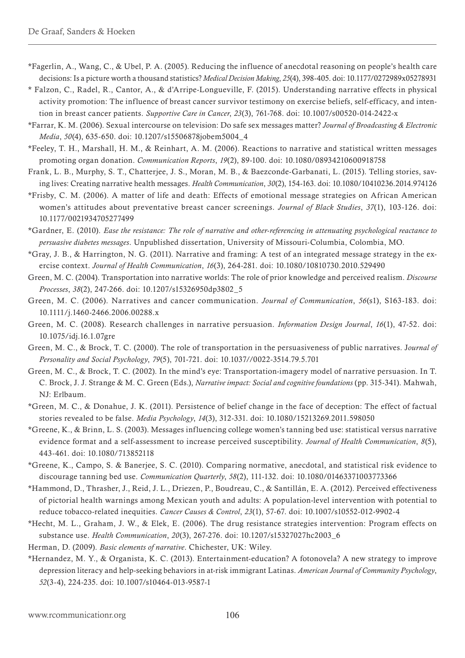- \*Fagerlin, A., Wang, C., & Ubel, P. A. (2005). Reducing the influence of anecdotal reasoning on people's health care decisions: Is a picture worth a thousand statistics? *Medical Decision Making*, *25*(4), 398-405. doi: 10.1177/0272989x05278931
- \* Falzon, C., Radel, R., Cantor, A., & d'Arripe-Longueville, F. (2015). Understanding narrative effects in physical activity promotion: The influence of breast cancer survivor testimony on exercise beliefs, self-efficacy, and intention in breast cancer patients. *Supportive Care in Cancer*, *23*(3), 761-768. doi: 10.1007/s00520-014-2422-x
- \*Farrar, K. M. (2006). Sexual intercourse on television: Do safe sex messages matter? *Journal of Broadcasting & Electronic Media*, *50*(4), 635-650. doi: 10.1207/s15506878jobem5004\_4
- \*Feeley, T. H., Marshall, H. M., & Reinhart, A. M. (2006). Reactions to narrative and statistical written messages promoting organ donation. *Communication Reports*, *19*(2), 89-100. doi: 10.1080/08934210600918758
- Frank, L. B., Murphy, S. T., Chatterjee, J. S., Moran, M. B., & Baezconde-Garbanati, L. (2015). Telling stories, saving lives: Creating narrative health messages. *Health Communication*, *30*(2), 154-163. doi: 10.1080/10410236.2014.974126
- \*Frisby, C. M. (2006). A matter of life and death: Effects of emotional message strategies on African American women's attitudes about preventative breast cancer screenings. *Journal of Black Studies*, *37*(1), 103-126. doi: 10.1177/0021934705277499
- \*Gardner, E. (2010). *Ease the resistance: The role of narrative and other-referencing in attenuating psychological reactance to persuasive diabetes messages*. Unpublished dissertation, University of Missouri-Columbia, Colombia, MO.
- \*Gray, J. B., & Harrington, N. G. (2011). Narrative and framing: A test of an integrated message strategy in the exercise context. *Journal of Health Communication*, *16*(3), 264-281. doi: 10.1080/10810730.2010.529490
- Green, M. C. (2004). Transportation into narrative worlds: The role of prior knowledge and perceived realism. *Discourse Processes*, *38*(2), 247-266. doi: 10.1207/s15326950dp3802\_5
- Green, M. C. (2006). Narratives and cancer communication. *Journal of Communication*, *56*(s1), S163-183. doi: 10.1111/j.1460-2466.2006.00288.x
- Green, M. C. (2008). Research challenges in narrative persuasion. *Information Design Journal*, *16*(1), 47-52. doi: 10.1075/idj.16.1.07gre
- Green, M. C., & Brock, T. C. (2000). The role of transportation in the persuasiveness of public narratives. J*ournal of Personality and Social Psychology*, *79*(5), 701-721. doi: 10.1037//0022-3514.79.5.701
- Green, M. C., & Brock, T. C. (2002). In the mind's eye: Transportation-imagery model of narrative persuasion. In T. C. Brock, J. J. Strange & M. C. Green (Eds.), *Narrative impact: Social and cognitive foundations* (pp. 315-341). Mahwah, NJ: Erlbaum.
- \*Green, M. C., & Donahue, J. K. (2011). Persistence of belief change in the face of deception: The effect of factual stories revealed to be false. *Media Psychology*, *14*(3), 312-331. doi: 10.1080/15213269.2011.598050
- \*Greene, K., & Brinn, L. S. (2003). Messages influencing college women's tanning bed use: statistical versus narrative evidence format and a self-assessment to increase perceived susceptibility. *Journal of Health Communication*, *8*(5), 443-461. doi: 10.1080/713852118
- \*Greene, K., Campo, S. & Banerjee, S. C. (2010). Comparing normative, anecdotal, and statistical risk evidence to discourage tanning bed use. *Communication Quarterly*, *58*(2), 111-132. doi: 10.1080/01463371003773366
- \*Hammond, D., Thrasher, J., Reid, J. L., Driezen, P., Boudreau, C., & Santillán, E. A. (2012). Perceived effectiveness of pictorial health warnings among Mexican youth and adults: A population-level intervention with potential to reduce tobacco-related inequities. *Cancer Causes & Control*, *23*(1), 57-67. doi: 10.1007/s10552-012-9902-4
- \*Hecht, M. L., Graham, J. W., & Elek, E. (2006). The drug resistance strategies intervention: Program effects on substance use. *Health Communication*, *20*(3), 267-276. doi: 10.1207/s15327027hc2003\_6
- Herman, D. (2009). *Basic elements of narrative*. Chichester, UK: Wiley.
- \*Hernandez, M. Y., & Organista, K. C. (2013). Entertainment-education? A fotonovela? A new strategy to improve depression literacy and help-seeking behaviors in at-risk immigrant Latinas. *American Journal of Community Psychology*, *52*(3-4), 224-235. doi: 10.1007/s10464-013-9587-1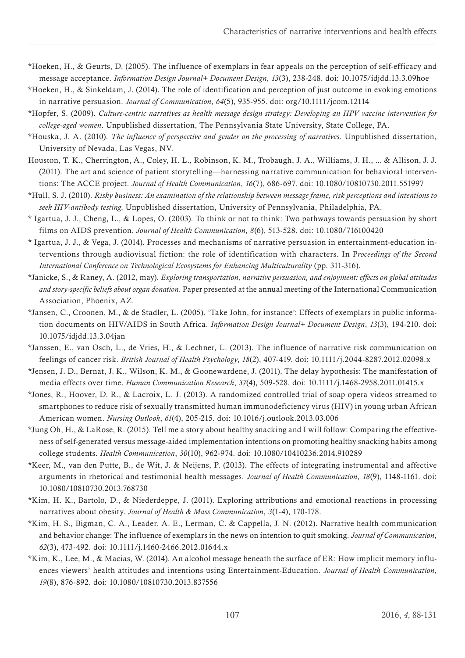- \*Hoeken, H., & Geurts, D. (2005). The influence of exemplars in fear appeals on the perception of self-efficacy and message acceptance. *Information Design Journal+ Document Design*, *13*(3), 238-248. doi: 10.1075/idjdd.13.3.09hoe
- \*Hoeken, H., & Sinkeldam, J. (2014). The role of identification and perception of just outcome in evoking emotions in narrative persuasion. *Journal of Communication*, *64*(5), 935-955. doi: org/10.1111/jcom.12114
- \*Hopfer, S. (2009). *Culture-centric narratives as health message design strategy: Developing an HPV vaccine intervention for college-aged women*. Unpublished dissertation, The Pennsylvania State University, State College, PA.
- \*Houska, J. A. (2010). *The influence of perspective and gender on the processing of narratives*. Unpublished dissertation, University of Nevada, Las Vegas, NV.
- Houston, T. K., Cherrington, A., Coley, H. L., Robinson, K. M., Trobaugh, J. A., Williams, J. H., ... & Allison, J. J. (2011). The art and science of patient storytelling—harnessing narrative communication for behavioral interventions: The ACCE project. *Journal of Health Communication*, *16*(7), 686-697. doi: 10.1080/10810730.2011.551997
- \*Hull, S. J. (2010). *Risky business: An examination of the relationship between message frame, risk perceptions and intentions to seek HIV-antibody testing*. Unpublished dissertation, University of Pennsylvania, Philadelphia, PA.
- \* Igartua, J. J., Cheng, L., & Lopes, O. (2003). To think or not to think: Two pathways towards persuasion by short films on AIDS prevention. *Journal of Health Communication*, *8*(6), 513-528. doi: 10.1080/716100420
- \* Igartua, J. J., & Vega, J. (2014). Processes and mechanisms of narrative persuasion in entertainment-education interventions through audiovisual fiction: the role of identification with characters. In P*roceedings of the Second International Conference on Technological Ecosystems for Enhancing Multiculturality* (pp. 311-316).
- \*Janicke, S., & Raney, A. (2012, may). *Exploring transportation, narrative persuasion, and enjoyment: effects on global attitudes and story-specific beliefs about organ donation*. Paper presented at the annual meeting of the International Communication Association, Phoenix, AZ.
- \*Jansen, C., Croonen, M., & de Stadler, L. (2005). 'Take John, for instance': Effects of exemplars in public information documents on HIV/AIDS in South Africa. *Information Design Journal+ Document Design*, *13*(3), 194-210. doi: 10.1075/idjdd.13.3.04jan
- \*Janssen, E., van Osch, L., de Vries, H., & Lechner, L. (2013). The influence of narrative risk communication on feelings of cancer risk. *British Journal of Health Psychology*, *18*(2), 407-419. doi: 10.1111/j.2044-8287.2012.02098.x
- \*Jensen, J. D., Bernat, J. K., Wilson, K. M., & Goonewardene, J. (2011). The delay hypothesis: The manifestation of media effects over time. *Human Communication Research*, *37*(4), 509-528. doi: 10.1111/j.1468-2958.2011.01415.x
- \*Jones, R., Hoover, D. R., & Lacroix, L. J. (2013). A randomized controlled trial of soap opera videos streamed to smartphones to reduce risk of sexually transmitted human immunodeficiency virus (HIV) in young urban African American women. *Nursing Outlook*, *61*(4), 205-215. doi: 10.1016/j.outlook.2013.03.006
- \*Jung Oh, H., & LaRose, R. (2015). Tell me a story about healthy snacking and I will follow: Comparing the effectiveness of self-generated versus message-aided implementation intentions on promoting healthy snacking habits among college students. *Health Communication*, *30*(10), 962-974. doi: 10.1080/10410236.2014.910289
- \*Keer, M., van den Putte, B., de Wit, J. & Neijens, P. (2013). The effects of integrating instrumental and affective arguments in rhetorical and testimonial health messages. *Journal of Health Communication*, *18*(9), 1148-1161. doi: 10.1080/10810730.2013.768730
- \*Kim, H. K., Bartolo, D., & Niederdeppe, J. (2011). Exploring attributions and emotional reactions in processing narratives about obesity. *Journal of Health & Mass Communication*, *3*(1-4), 170-178.
- \*Kim, H. S., Bigman, C. A., Leader, A. E., Lerman, C. & Cappella, J. N. (2012). Narrative health communication and behavior change: The influence of exemplars in the news on intention to quit smoking. *Journal of Communication*, *62*(3), 473-492. doi: 10.1111/j.1460-2466.2012.01644.x
- \*Kim, K., Lee, M., & Macias, W. (2014). An alcohol message beneath the surface of ER: How implicit memory influences viewers' health attitudes and intentions using Entertainment-Education. *Journal of Health Communication*, *19*(8), 876-892. doi: 10.1080/10810730.2013.837556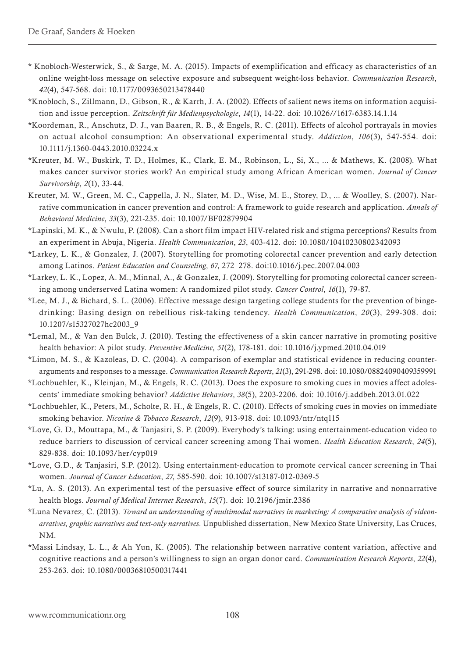- \* Knobloch-Westerwick, S., & Sarge, M. A. (2015). Impacts of exemplification and efficacy as characteristics of an online weight-loss message on selective exposure and subsequent weight-loss behavior. *Communication Research*, *42*(4), 547-568. doi: 10.1177/0093650213478440
- \*Knobloch, S., Zillmann, D., Gibson, R., & Karrh, J. A. (2002). Effects of salient news items on information acquisition and issue perception. *Zeitschrift für Medienpsychologie*, *14*(1), 14-22. doi: 10.1026//1617-6383.14.1.14
- \*Koordeman, R., Anschutz, D. J., van Baaren, R. B., & Engels, R. C. (2011). Effects of alcohol portrayals in movies on actual alcohol consumption: An observational experimental study. *Addiction*, *106*(3), 547-554. doi: 10.1111/j.1360-0443.2010.03224.x
- \*Kreuter, M. W., Buskirk, T. D., Holmes, K., Clark, E. M., Robinson, L., Si, X., ... & Mathews, K. (2008). What makes cancer survivor stories work? An empirical study among African American women. *Journal of Cancer Survivorship*, *2*(1), 33-44.
- Kreuter, M. W., Green, M. C., Cappella, J. N., Slater, M. D., Wise, M. E., Storey, D., ... & Woolley, S. (2007). Narrative communication in cancer prevention and control: A framework to guide research and application. *Annals of Behavioral Medicine*, *33*(3), 221-235. doi: 10.1007/BF02879904
- \*Lapinski, M. K., & Nwulu, P. (2008). Can a short film impact HIV-related risk and stigma perceptions? Results from an experiment in Abuja, Nigeria. *Health Communication*, *23*, 403-412. doi: 10.1080/10410230802342093
- \*Larkey, L. K., & Gonzalez, J. (2007). Storytelling for promoting colorectal cancer prevention and early detection among Latinos. *Patient Education and Counseling*, *67*, 272–278. doi:10.1016/j.pec.2007.04.003
- \*Larkey, L. K., Lopez, A. M., Minnal, A., & Gonzalez, J. (2009). Storytelling for promoting colorectal cancer screening among underserved Latina women: A randomized pilot study. *Cancer Control*, *16*(1), 79-87.
- \*Lee, M. J., & Bichard, S. L. (2006). Effective message design targeting college students for the prevention of bingedrinking: Basing design on rebellious risk-taking tendency. *Health Communication*, *20*(3), 299-308. doi: 10.1207/s15327027hc2003\_9
- \*Lemal, M., & Van den Bulck, J. (2010). Testing the effectiveness of a skin cancer narrative in promoting positive health behavior: A pilot study. *Preventive Medicine*, *51*(2), 178-181. doi: 10.1016/j.ypmed.2010.04.019
- \*Limon, M. S., & Kazoleas, D. C. (2004). A comparison of exemplar and statistical evidence in reducing counterarguments and responses to a message. *Communication Research Reports*, *21*(3), 291-298. doi: 10.1080/08824090409359991
- \*Lochbuehler, K., Kleinjan, M., & Engels, R. C. (2013). Does the exposure to smoking cues in movies affect adolescents' immediate smoking behavior? *Addictive Behaviors*, *38*(5), 2203-2206. doi: 10.1016/j.addbeh.2013.01.022
- \*Lochbuehler, K., Peters, M., Scholte, R. H., & Engels, R. C. (2010). Effects of smoking cues in movies on immediate smoking behavior. *Nicotine & Tobacco Research*, *12*(9), 913-918. doi: 10.1093/ntr/ntq115
- \*Love, G. D., Mouttapa, M., & Tanjasiri, S. P. (2009). Everybody's talking: using entertainment-education video to reduce barriers to discussion of cervical cancer screening among Thai women. *Health Education Research*, *24*(5), 829-838. doi: 10.1093/her/cyp019
- \*Love, G.D., & Tanjasiri, S.P. (2012). Using entertainment-education to promote cervical cancer screening in Thai women. *Journal of Cancer Education*, *27*, 585-590. doi: 10.1007/s13187-012-0369-5
- \*Lu, A. S. (2013). An experimental test of the persuasive effect of source similarity in narrative and nonnarrative health blogs. *Journal of Medical Internet Research*, *15*(7). doi: 10.2196/jmir.2386
- \*Luna Nevarez, C. (2013). *Toward an understanding of multimodal narratives in marketing: A comparative analysis of videonarratives, graphic narratives and text-only narratives*. Unpublished dissertation, New Mexico State University, Las Cruces, NM.
- \*Massi Lindsay, L. L., & Ah Yun, K. (2005). The relationship between narrative content variation, affective and cognitive reactions and a person's willingness to sign an organ donor card. *Communication Research Reports*, *22*(4), 253-263. doi: 10.1080/00036810500317441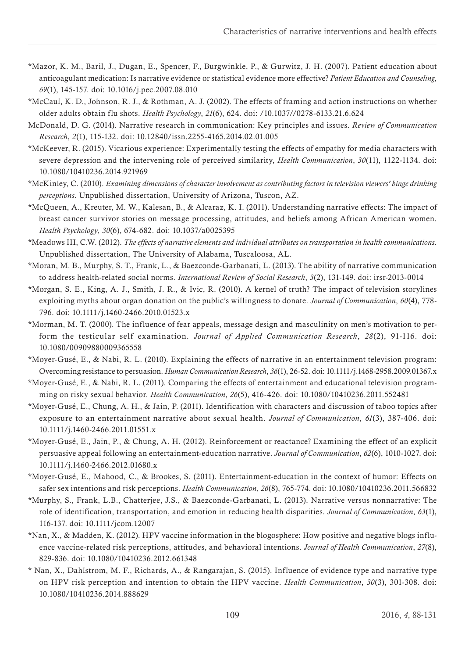- \*Mazor, K. M., Baril, J., Dugan, E., Spencer, F., Burgwinkle, P., & Gurwitz, J. H. (2007). Patient education about anticoagulant medication: Is narrative evidence or statistical evidence more effective? *Patient Education and Counseling*, *69*(1), 145-157. doi: 10.1016/j.pec.2007.08.010
- \*McCaul, K. D., Johnson, R. J., & Rothman, A. J. (2002). The effects of framing and action instructions on whether older adults obtain flu shots. *Health Psychology*, *21*(6), 624. doi: /10.1037//0278-6133.21.6.624
- McDonald, D. G. (2014). Narrative research in communication: Key principles and issues. *Review of Communication Research*, *2*(1), 115-132. doi: 10.12840/issn.2255-4165.2014.02.01.005
- \*McKeever, R. (2015). Vicarious experience: Experimentally testing the effects of empathy for media characters with severe depression and the intervening role of perceived similarity, *Health Communication*, *30*(11), 1122-1134. doi: 10.1080/10410236.2014.921969
- \*McKinley, C. (2010). *Examining dimensions of character involvement as contributing factors in television viewers' binge drinking perceptions*. Unpublished dissertation, University of Arizona, Tuscon, AZ.
- \*McQueen, A., Kreuter, M. W., Kalesan, B., & Alcaraz, K. I. (2011). Understanding narrative effects: The impact of breast cancer survivor stories on message processing, attitudes, and beliefs among African American women. *Health Psychology*, *30*(6), 674-682. doi: 10.1037/a0025395
- \*Meadows III, C.W. (2012). *The effects of narrative elements and individual attributes on transportation in health communications*. Unpublished dissertation, The University of Alabama, Tuscaloosa, AL.
- \*Moran, M. B., Murphy, S. T., Frank, L., & Baezconde-Garbanati, L. (2013). The ability of narrative communication to address health-related social norms. *International Review of Social Research*, *3*(2), 131-149. doi: irsr-2013-0014
- \*Morgan, S. E., King, A. J., Smith, J. R., & Ivic, R. (2010). A kernel of truth? The impact of television storylines exploiting myths about organ donation on the public's willingness to donate. *Journal of Communication*, *60*(4), 778- 796. doi: 10.1111/j.1460-2466.2010.01523.x
- \*Morman, M. T. (2000). The influence of fear appeals, message design and masculinity on men's motivation to perform the testicular self examination. *Journal of Applied Communication Research*, *28*(2), 91-116. doi: 10.1080/00909880009365558
- \*Moyer-Gusé, E., & Nabi, R. L. (2010). Explaining the effects of narrative in an entertainment television program: Overcoming resistance to persuasion. *Human Communication Research*, *36*(1), 26-52. doi: 10.1111/j.1468-2958.2009.01367.x
- \*Moyer-Gusé, E., & Nabi, R. L. (2011). Comparing the effects of entertainment and educational television programming on risky sexual behavior. *Health Communication*, *26*(5), 416-426. doi: 10.1080/10410236.2011.552481
- \*Moyer-Gusé, E., Chung, A. H., & Jain, P. (2011). Identification with characters and discussion of taboo topics after exposure to an entertainment narrative about sexual health. *Journal of Communication*, *61*(3), 387-406. doi: 10.1111/j.1460-2466.2011.01551.x
- \*Moyer-Gusé, E., Jain, P., & Chung, A. H. (2012). Reinforcement or reactance? Examining the effect of an explicit persuasive appeal following an entertainment-education narrative. *Journal of Communication*, *62*(6), 1010-1027. doi: 10.1111/j.1460-2466.2012.01680.x
- \*Moyer-Gusé, E., Mahood, C., & Brookes, S. (2011). Entertainment-education in the context of humor: Effects on safer sex intentions and risk perceptions. *Health Communication*, *26*(8), 765-774. doi: 10.1080/10410236.2011.566832
- \*Murphy, S., Frank, L.B., Chatterjee, J.S., & Baezconde-Garbanati, L. (2013). Narrative versus nonnarrative: The role of identification, transportation, and emotion in reducing health disparities. *Journal of Communication*, *63*(1), 116-137. doi: 10.1111/jcom.12007
- \*Nan, X., & Madden, K. (2012). HPV vaccine information in the blogosphere: How positive and negative blogs influence vaccine-related risk perceptions, attitudes, and behavioral intentions. *Journal of Health Communication*, *27*(8), 829-836. doi: 10.1080/10410236.2012.661348
- \* Nan, X., Dahlstrom, M. F., Richards, A., & Rangarajan, S. (2015). Influence of evidence type and narrative type on HPV risk perception and intention to obtain the HPV vaccine. *Health Communication*, *30*(3), 301-308. doi: 10.1080/10410236.2014.888629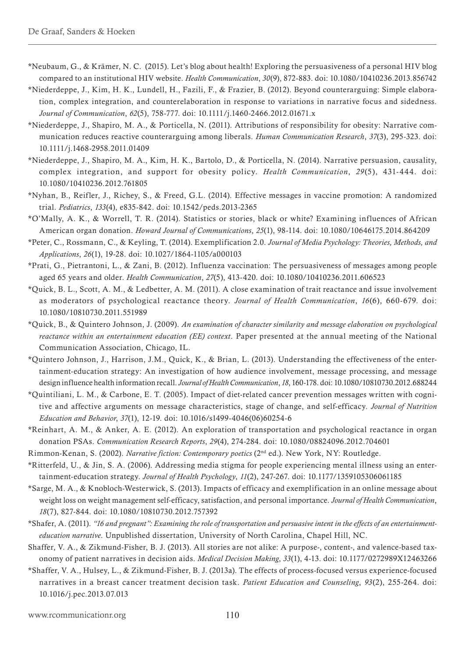- \*Neubaum, G., & Krämer, N. C. (2015). Let's blog about health! Exploring the persuasiveness of a personal HIV blog compared to an institutional HIV website. *Health Communication*, *30*(9), 872-883. doi: 10.1080/10410236.2013.856742
- \*Niederdeppe, J., Kim, H. K., Lundell, H., Fazili, F., & Frazier, B. (2012). Beyond counterarguing: Simple elaboration, complex integration, and counterelaboration in response to variations in narrative focus and sidedness. *Journal of Communication*, *62*(5), 758-777. doi: 10.1111/j.1460-2466.2012.01671.x
- \*Niederdeppe, J., Shapiro, M. A., & Porticella, N. (2011). Attributions of responsibility for obesity: Narrative communication reduces reactive counterarguing among liberals. *Human Communication Research*, *37*(3), 295-323. doi: 10.1111/j.1468-2958.2011.01409
- \*Niederdeppe, J., Shapiro, M. A., Kim, H. K., Bartolo, D., & Porticella, N. (2014). Narrative persuasion, causality, complex integration, and support for obesity policy. *Health Communication*, *29* (5), 431-444. doi: 10.1080/10410236.2012.761805
- \*Nyhan, B., Reifler, J., Richey, S., & Freed, G.L. (2014). Effective messages in vaccine promotion: A randomized trial. *Pediatrics*, *133*(4), e835-842. doi: 10.1542/peds.2013-2365
- \*O'Mally, A. K., & Worrell, T. R. (2014). Statistics or stories, black or white? Examining influences of African American organ donation. *Howard Journal of Communications*, *25*(1), 98-114. doi: 10.1080/10646175.2014.864209
- \*Peter, C., Rossmann, C., & Keyling, T. (2014). Exemplification 2.0. *Journal of Media Psychology: Theories, Methods, and Applications*, *26*(1), 19-28. doi: 10.1027/1864-1105/a000103
- \*Prati, G., Pietrantoni, L., & Zani, B. (2012). Influenza vaccination: The persuasiveness of messages among people aged 65 years and older. *Health Communication*, *27*(5), 413-420. doi: 10.1080/10410236.2011.606523
- \*Quick, B. L., Scott, A. M., & Ledbetter, A. M. (2011). A close examination of trait reactance and issue involvement as moderators of psychological reactance theory. *Journal of Health Communication*, *16*(6), 660-679. doi: 10.1080/10810730.2011.551989
- \*Quick, B., & Quintero Johnson, J. (2009). *An examination of character similarity and message elaboration on psychological reactance within an entertainment education (EE) context*. Paper presented at the annual meeting of the National Communication Association, Chicago, IL.
- \*Quintero Johnson, J., Harrison, J.M., Quick, K., & Brian, L. (2013). Understanding the effectiveness of the entertainment-education strategy: An investigation of how audience involvement, message processing, and message design influence health information recall. *Journal of Health Communication*, *18*, 160-178. doi: 10.1080/10810730.2012.688244
- \*Quintiliani, L. M., & Carbone, E. T. (2005). Impact of diet-related cancer prevention messages written with cognitive and affective arguments on message characteristics, stage of change, and self-efficacy. *Journal of Nutrition Education and Behavior*, *37*(1), 12-19. doi: 10.1016/s1499-4046(06)60254-6
- \*Reinhart, A. M., & Anker, A. E. (2012). An exploration of transportation and psychological reactance in organ donation PSAs. *Communication Research Reports*, *29*(4), 274-284. doi: 10.1080/08824096.2012.704601
- Rimmon-Kenan, S. (2002). *Narrative fiction: Contemporary poetics* (2nd ed.). New York, NY: Routledge.
- \*Ritterfeld, U., & Jin, S. A. (2006). Addressing media stigma for people experiencing mental illness using an entertainment-education strategy. *Journal of Health Psychology*, *11*(2), 247-267. doi: 10.1177/1359105306061185
- \*Sarge, M. A., & Knobloch-Westerwick, S. (2013). Impacts of efficacy and exemplification in an online message about weight loss on weight management self-efficacy, satisfaction, and personal importance. *Journal of Health Communication*, *18*(7), 827-844. doi: 10.1080/10810730.2012.757392
- \*Shafer, A. (2011). *"16 and pregnant": Examining the role of transportation and persuasive intent in the effects of an entertainmenteducation narrative*. Unpublished dissertation, University of North Carolina, Chapel Hill, NC.
- Shaffer, V. A., & Zikmund-Fisher, B. J. (2013). All stories are not alike: A purpose-, content-, and valence-based taxonomy of patient narratives in decision aids. *Medical Decision Making*, *33*(1), 4-13. doi: 10.1177/0272989X12463266
- \*Shaffer, V. A., Hulsey, L., & Zikmund-Fisher, B. J. (2013a). The effects of process-focused versus experience-focused narratives in a breast cancer treatment decision task. *Patient Education and Counseling*, *93*(2), 255-264. doi: 10.1016/j.pec.2013.07.013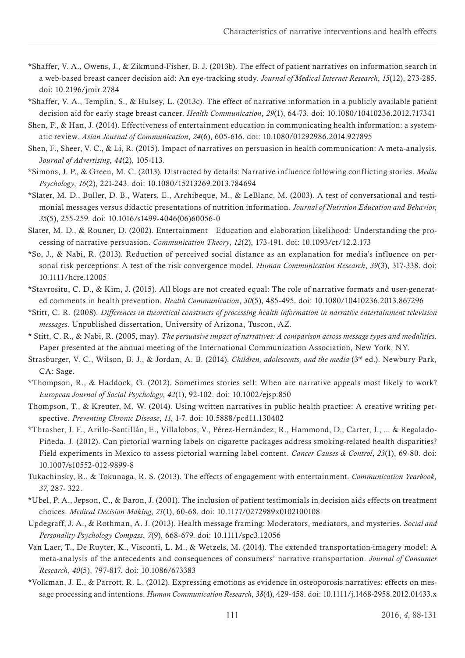- \*Shaffer, V. A., Owens, J., & Zikmund-Fisher, B. J. (2013b). The effect of patient narratives on information search in a web-based breast cancer decision aid: An eye-tracking study. *Journal of Medical Internet Research*, *15*(12), 273-285. doi: 10.2196/jmir.2784
- \*Shaffer, V. A., Templin, S., & Hulsey, L. (2013c). The effect of narrative information in a publicly available patient decision aid for early stage breast cancer. *Health Communication*, *29*(1), 64-73. doi: 10.1080/10410236.2012.717341
- Shen, F., & Han, J. (2014). Effectiveness of entertainment education in communicating health information: a systematic review. *Asian Journal of Communication*, *24*(6), 605-616. doi: 10.1080/01292986.2014.927895
- Shen, F., Sheer, V. C., & Li, R. (2015). Impact of narratives on persuasion in health communication: A meta-analysis. J*ournal of Advertising*, *44*(2), 105-113.
- \*Simons, J. P., & Green, M. C. (2013). Distracted by details: Narrative influence following conflicting stories. *Media Psychology*, *16*(2), 221-243. doi: 10.1080/15213269.2013.784694
- \*Slater, M. D., Buller, D. B., Waters, E., Archibeque, M., & LeBlanc, M. (2003). A test of conversational and testimonial messages versus didactic presentations of nutrition information. *Journal of Nutrition Education and Behavior*, *35*(5), 255-259. doi: 10.1016/s1499-4046(06)60056-0
- Slater, M. D., & Rouner, D. (2002). Entertainment—Education and elaboration likelihood: Understanding the processing of narrative persuasion. *Communication Theory*, *12*(2), 173-191. doi: 10.1093/ct/12.2.173
- \*So, J., & Nabi, R. (2013). Reduction of perceived social distance as an explanation for media's influence on personal risk perceptions: A test of the risk convergence model. *Human Communication Research*, *39*(3), 317-338. doi: 10.1111/hcre.12005
- \*Stavrositu, C. D., & Kim, J. (2015). All blogs are not created equal: The role of narrative formats and user-generated comments in health prevention. *Health Communication*, *30*(5), 485-495. doi: 10.1080/10410236.2013.867296
- \*Stitt, C. R. (2008). *Differences in theoretical constructs of processing health information in narrative entertainment television messages*. Unpublished dissertation, University of Arizona, Tuscon, AZ.
- \* Stitt, C. R., & Nabi, R. (2005, may). *The persuasive impact of narratives: A comparison across message types and modalities*. Paper presented at the annual meeting of the International Communication Association, New York, NY.
- Strasburger, V. C., Wilson, B. J., & Jordan, A. B. (2014). *Children, adolescents, and the media* (3rd ed.). Newbury Park, CA: Sage.
- \*Thompson, R., & Haddock, G. (2012). Sometimes stories sell: When are narrative appeals most likely to work? *European Journal of Social Psychology*, *42*(1), 92-102. doi: 10.1002/ejsp.850
- Thompson, T., & Kreuter, M. W. (2014). Using written narratives in public health practice: A creative writing perspective. *Preventing Chronic Disease*, *11*, 1-7. doi: 10.5888/pcd11.130402
- \*Thrasher, J. F., Arillo-Santillán, E., Villalobos, V., Pérez-Hernández, R., Hammond, D., Carter, J., ... & Regalado-Piñeda, J. (2012). Can pictorial warning labels on cigarette packages address smoking-related health disparities? Field experiments in Mexico to assess pictorial warning label content. *Cancer Causes & Control*, *23*(1), 69-80. doi: 10.1007/s10552-012-9899-8
- Tukachinsky, R., & Tokunaga, R. S. (2013). The effects of engagement with entertainment. *Communication Yearbook*, *37*, 287- 322.
- \*Ubel, P. A., Jepson, C., & Baron, J. (2001). The inclusion of patient testimonials in decision aids effects on treatment choices. *Medical Decision Making*, *21*(1), 60-68. doi: 10.1177/0272989x0102100108
- Updegraff, J. A., & Rothman, A. J. (2013). Health message framing: Moderators, mediators, and mysteries. *Social and Personality Psychology Compass*, *7*(9), 668-679. doi: 10.1111/spc3.12056
- Van Laer, T., De Ruyter, K., Visconti, L. M., & Wetzels, M. (2014). The extended transportation-imagery model: A meta-analysis of the antecedents and consequences of consumers' narrative transportation. *Journal of Consumer Research*, *40*(5), 797-817. doi: 10.1086/673383
- \*Volkman, J. E., & Parrott, R. L. (2012). Expressing emotions as evidence in osteoporosis narratives: effects on message processing and intentions. *Human Communication Research*, *38*(4), 429-458. doi: 10.1111/j.1468-2958.2012.01433.x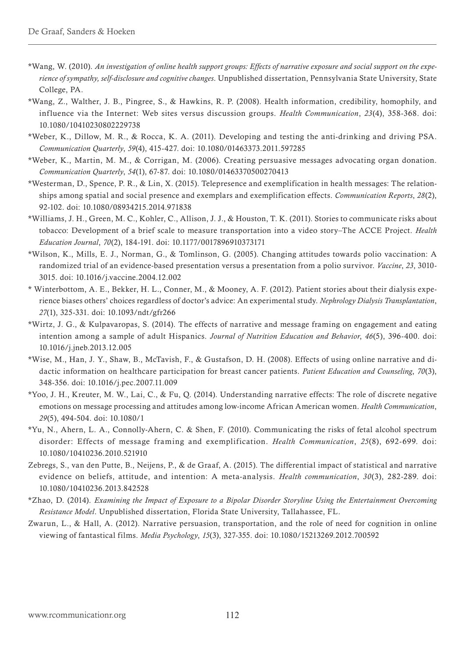- \*Wang, W. (2010). *An investigation of online health support groups: Effects of narrative exposure and social support on the experience of sympathy, self-disclosure and cognitive changes*. Unpublished dissertation, Pennsylvania State University, State College, PA.
- \*Wang, Z., Walther, J. B., Pingree, S., & Hawkins, R. P. (2008). Health information, credibility, homophily, and influence via the Internet: Web sites versus discussion groups. *Health Communication*, *23*(4), 358-368. doi: 10.1080/10410230802229738
- \*Weber, K., Dillow, M. R., & Rocca, K. A. (2011). Developing and testing the anti-drinking and driving PSA. *Communication Quarterly*, *59*(4), 415-427. doi: 10.1080/01463373.2011.597285
- \*Weber, K., Martin, M. M., & Corrigan, M. (2006). Creating persuasive messages advocating organ donation. *Communication Quarterly*, *54*(1), 67-87. doi: 10.1080/01463370500270413
- \*Westerman, D., Spence, P. R., & Lin, X. (2015). Telepresence and exemplification in health messages: The relationships among spatial and social presence and exemplars and exemplification effects. *Communication Reports*, *28*(2), 92-102. doi: 10.1080/08934215.2014.971838
- \*Williams, J. H., Green, M. C., Kohler, C., Allison, J. J., & Houston, T. K. (2011). Stories to communicate risks about tobacco: Development of a brief scale to measure transportation into a video story–The ACCE Project. *Health Education Journal*, *70*(2), 184-191. doi: 10.1177/0017896910373171
- \*Wilson, K., Mills, E. J., Norman, G., & Tomlinson, G. (2005). Changing attitudes towards polio vaccination: A randomized trial of an evidence-based presentation versus a presentation from a polio survivor. *Vaccine*, *23*, 3010- 3015. doi: 10.1016/j.vaccine.2004.12.002
- \* Winterbottom, A. E., Bekker, H. L., Conner, M., & Mooney, A. F. (2012). Patient stories about their dialysis experience biases others' choices regardless of doctor's advice: An experimental study. *Nephrology Dialysis Transplantation*, *27*(1), 325-331. doi: 10.1093/ndt/gfr266
- \*Wirtz, J. G., & Kulpavaropas, S. (2014). The effects of narrative and message framing on engagement and eating intention among a sample of adult Hispanics. *Journal of Nutrition Education and Behavior*, *46*(5), 396-400. doi: 10.1016/j.jneb.2013.12.005
- \*Wise, M., Han, J. Y., Shaw, B., McTavish, F., & Gustafson, D. H. (2008). Effects of using online narrative and didactic information on healthcare participation for breast cancer patients. *Patient Education and Counseling*, *70*(3), 348-356. doi: 10.1016/j.pec.2007.11.009
- \*Yoo, J. H., Kreuter, M. W., Lai, C., & Fu, Q. (2014). Understanding narrative effects: The role of discrete negative emotions on message processing and attitudes among low-income African American women. *Health Communication*, *29*(5), 494-504. doi: 10.1080/1
- \*Yu, N., Ahern, L. A., Connolly-Ahern, C. & Shen, F. (2010). Communicating the risks of fetal alcohol spectrum disorder: Effects of message framing and exemplification. *Health Communication*, *25*(8), 692-699. doi: 10.1080/10410236.2010.521910
- Zebregs, S., van den Putte, B., Neijens, P., & de Graaf, A. (2015). The differential impact of statistical and narrative evidence on beliefs, attitude, and intention: A meta-analysis. *Health communication*, *30*(3), 282-289. doi: 10.1080/10410236.2013.842528
- \*Zhao, D. (2014). *Examining the Impact of Exposure to a Bipolar Disorder Storyline Using the Entertainment Overcoming Resistance Model*. Unpublished dissertation, Florida State University, Tallahassee, FL.
- Zwarun, L., & Hall, A. (2012). Narrative persuasion, transportation, and the role of need for cognition in online viewing of fantastical films. *Media Psychology*, *15*(3), 327-355. doi: 10.1080/15213269.2012.700592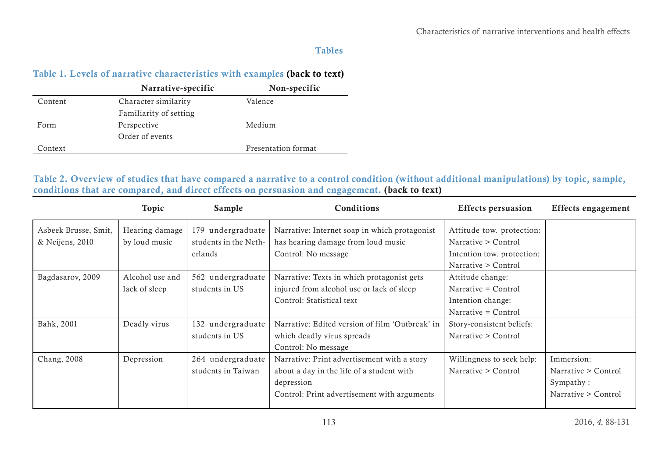# Tables

# <span id="page-25-0"></span>Table 1. Levels of narrative characteristics with examples ([back to text](#page-6-2))

|         | Narrative-specific     | Non-specific        |
|---------|------------------------|---------------------|
| Content | Character similarity   | Valence             |
|         | Familiarity of setting |                     |
| Form    | Perspective            | Medium              |
|         | Order of events        |                     |
| Context |                        | Presentation format |

Table 2. Overview of studies that have compared a narrative to a control condition (without additional manipulations) by topic, sample, conditions that are compared, and direct effects on persuasion and engagement. ([back to text](#page-6-1))

<span id="page-25-2"></span><span id="page-25-1"></span>

|                      | Topic           | Sample                | Conditions                                      | <b>Effects persuasion</b>  | <b>Effects engagement</b> |
|----------------------|-----------------|-----------------------|-------------------------------------------------|----------------------------|---------------------------|
| Asbeek Brusse, Smit, | Hearing damage  | 179 undergraduate     | Narrative: Internet soap in which protagonist   | Attitude tow. protection:  |                           |
| & Neijens, 2010      | by loud music   | students in the Neth- | has hearing damage from loud music              | Narrative > Control        |                           |
|                      |                 | erlands               | Control: No message                             | Intention tow. protection: |                           |
|                      |                 |                       |                                                 | Narrative > Control        |                           |
| Bagdasarov, 2009     | Alcohol use and | 562 undergraduate     | Narrative: Texts in which protagonist gets      | Attitude change:           |                           |
|                      | lack of sleep   | students in US        | injured from alcohol use or lack of sleep       | Narrative = Control        |                           |
|                      |                 |                       | Control: Statistical text                       | Intention change:          |                           |
|                      |                 |                       |                                                 | Narrative = Control        |                           |
| Bahk, 2001           | Deadly virus    | 132 undergraduate     | Narrative: Edited version of film 'Outbreak' in | Story-consistent beliefs:  |                           |
|                      |                 | students in US        | which deadly virus spreads                      | Narrative > Control        |                           |
|                      |                 |                       | Control: No message                             |                            |                           |
| Chang, 2008          | Depression      | 264 undergraduate     | Narrative: Print advertisement with a story     | Willingness to seek help:  | Immersion:                |
|                      |                 | students in Taiwan    | about a day in the life of a student with       | Narrative > Control        | Narrative > Control       |
|                      |                 |                       | depression                                      |                            | Sympathy:                 |
|                      |                 |                       | Control: Print advertisement with arguments     |                            | Narrative > Control       |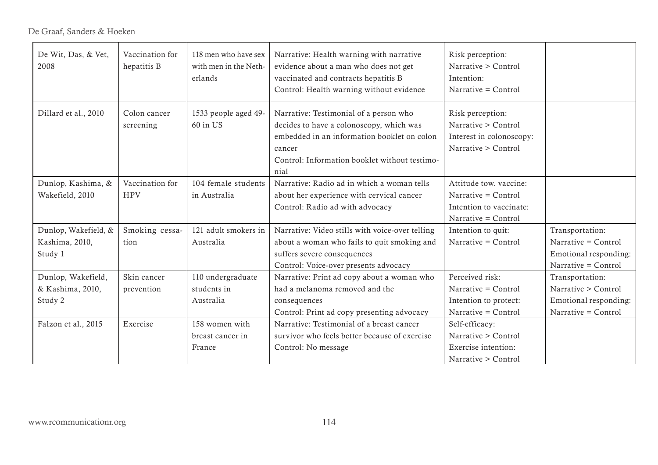De Graaf, Sanders & Hoeken

| De Wit, Das, & Vet,<br>2008                                                     | Vaccination for<br>hepatitis B                                             | 118 men who have sex<br>with men in the Neth-<br>erlands                                                          | Narrative: Health warning with narrative<br>evidence about a man who does not get<br>vaccinated and contracts hepatitis B<br>Control: Health warning without evidence                                | Risk perception:<br>Narrative > Control<br>Intention:<br>Narrative = Control                    |                                                                                        |
|---------------------------------------------------------------------------------|----------------------------------------------------------------------------|-------------------------------------------------------------------------------------------------------------------|------------------------------------------------------------------------------------------------------------------------------------------------------------------------------------------------------|-------------------------------------------------------------------------------------------------|----------------------------------------------------------------------------------------|
| Dillard et al., 2010                                                            | 1533 people aged 49-<br>Colon cancer<br>60 in US<br>screening              |                                                                                                                   | Narrative: Testimonial of a person who<br>decides to have a colonoscopy, which was<br>embedded in an information booklet on colon<br>cancer<br>Control: Information booklet without testimo-<br>nial | Risk perception:<br>Narrative > Control<br>Interest in colonoscopy:<br>Narrative > Control      |                                                                                        |
| Dunlop, Kashima, &<br>Wakefield, 2010                                           | Vaccination for<br><b>HPV</b>                                              | 104 female students<br>in Australia                                                                               | Narrative: Radio ad in which a woman tells<br>about her experience with cervical cancer<br>Control: Radio ad with advocacy                                                                           | Attitude tow. vaccine:<br>Narrative = Control<br>Intention to vaccinate:<br>Narrative = Control |                                                                                        |
| Dunlop, Wakefield, &<br>Kashima, 2010,<br>Study 1                               | Smoking cessa-<br>tion                                                     | 121 adult smokers in<br>Australia                                                                                 | Narrative: Video stills with voice-over telling<br>about a woman who fails to quit smoking and<br>suffers severe consequences<br>Control: Voice-over presents advocacy                               | Intention to quit:<br>Narrative = Control                                                       | Transportation:<br>Narrative = Control<br>Emotional responding:<br>Narrative = Control |
| Dunlop, Wakefield,<br>& Kashima, 2010,<br>Study 2                               | Skin cancer<br>110 undergraduate<br>students in<br>prevention<br>Australia |                                                                                                                   | Narrative: Print ad copy about a woman who<br>had a melanoma removed and the<br>consequences<br>Control: Print ad copy presenting advocacy                                                           | Perceived risk:<br>Narrative = Control<br>Intention to protect:<br>Narrative = Control          | Transportation:<br>Narrative > Control<br>Emotional responding:<br>Narrative = Control |
| 158 women with<br>Falzon et al., 2015<br>Exercise<br>breast cancer in<br>France |                                                                            | Narrative: Testimonial of a breast cancer<br>survivor who feels better because of exercise<br>Control: No message | Self-efficacy:<br>Narrative > Control<br>Exercise intention:<br>Narrative > Control                                                                                                                  |                                                                                                 |                                                                                        |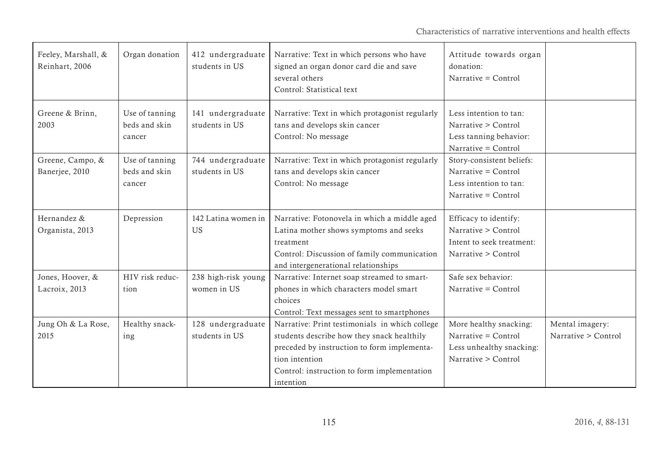| Feeley, Marshall, &<br>Reinhart, 2006 | Organ donation                            | 412 undergraduate<br>students in US | Narrative: Text in which persons who have<br>signed an organ donor card die and save<br>several others<br>Control: Statistical text                                                                                       | Attitude towards organ<br>donation:<br>Narrative = Control                                        |                                        |
|---------------------------------------|-------------------------------------------|-------------------------------------|---------------------------------------------------------------------------------------------------------------------------------------------------------------------------------------------------------------------------|---------------------------------------------------------------------------------------------------|----------------------------------------|
| Greene & Brinn,<br>2003               | Use of tanning<br>beds and skin<br>cancer | 141 undergraduate<br>students in US | Narrative: Text in which protagonist regularly<br>tans and develops skin cancer<br>Control: No message                                                                                                                    | Less intention to tan:<br>Narrative > Control<br>Less tanning behavior:<br>Narrative = Control    |                                        |
| Greene, Campo, &<br>Banerjee, 2010    | Use of tanning<br>beds and skin<br>cancer | 744 undergraduate<br>students in US | Narrative: Text in which protagonist regularly<br>tans and develops skin cancer<br>Control: No message                                                                                                                    | Story-consistent beliefs:<br>Narrative = Control<br>Less intention to tan:<br>Narrative = Control |                                        |
| Hernandez &<br>Organista, 2013        | Depression                                | 142 Latina women in<br><b>US</b>    | Narrative: Fotonovela in which a middle aged<br>Latina mother shows symptoms and seeks<br>treatment<br>Control: Discussion of family communication<br>and intergenerational relationships                                 | Efficacy to identify:<br>Narrative > Control<br>Intent to seek treatment:<br>Narrative > Control  |                                        |
| Jones, Hoover, &<br>Lacroix, 2013     | HIV risk reduc-<br>tion                   | 238 high-risk young<br>women in US  | Narrative: Internet soap streamed to smart-<br>phones in which characters model smart<br>choices<br>Control: Text messages sent to smartphones                                                                            | Safe sex behavior:<br>Narrative = Control                                                         |                                        |
| Jung Oh & La Rose,<br>2015            | Healthy snack-<br>ing                     | 128 undergraduate<br>students in US | Narrative: Print testimonials in which college<br>students describe how they snack healthily<br>preceded by instruction to form implementa-<br>tion intention<br>Control: instruction to form implementation<br>intention | More healthy snacking:<br>Narrative = Control<br>Less unhealthy snacking:<br>Narrative > Control  | Mental imagery:<br>Narrative > Control |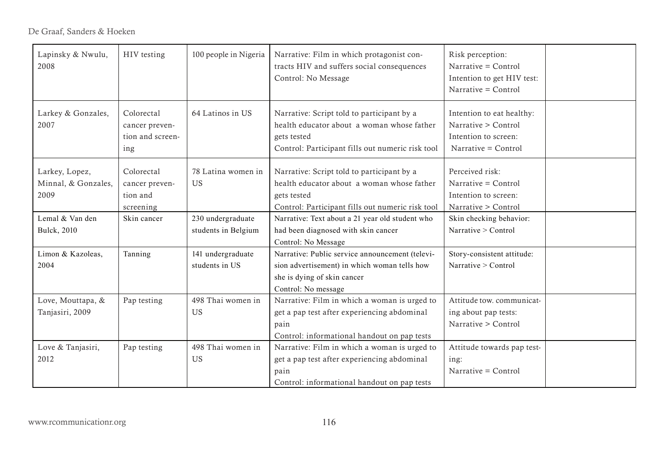| Lapinsky & Nwulu,<br>HIV testing<br>2008                  |                                                                                                              | 100 people in Nigeria | Narrative: Film in which protagonist con-<br>tracts HIV and suffers social consequences<br>Control: No Message                                     | Risk perception:<br>Narrative = Control<br>Intention to get HIV test:<br>Narrative = $Control$                                                              |                                                                                                 |  |
|-----------------------------------------------------------|--------------------------------------------------------------------------------------------------------------|-----------------------|----------------------------------------------------------------------------------------------------------------------------------------------------|-------------------------------------------------------------------------------------------------------------------------------------------------------------|-------------------------------------------------------------------------------------------------|--|
|                                                           | Larkey & Gonzales,<br>Colorectal<br>2007<br>cancer preven-<br>tion and screen-<br>ing                        |                       | 64 Latinos in US                                                                                                                                   | Narrative: Script told to participant by a<br>health educator about a woman whose father<br>gets tested<br>Control: Participant fills out numeric risk tool | Intention to eat healthy:<br>Narrative > Control<br>Intention to screen:<br>Narrative = Control |  |
|                                                           | Colorectal<br>Larkey, Lopez,<br>Minnal, & Gonzales,<br>US<br>cancer preven-<br>2009<br>tion and<br>screening |                       | 78 Latina women in                                                                                                                                 | Narrative: Script told to participant by a<br>health educator about a woman whose father<br>gets tested<br>Control: Participant fills out numeric risk tool | Perceived risk:<br>Narrative = Control<br>Intention to screen:<br>Narrative > Control           |  |
|                                                           | Lemal & Van den<br>Bulck, 2010                                                                               | Skin cancer           | 230 undergraduate<br>students in Belgium                                                                                                           | Narrative: Text about a 21 year old student who<br>had been diagnosed with skin cancer<br>Control: No Message                                               | Skin checking behavior:<br>Narrative > Control                                                  |  |
|                                                           | Limon & Kazoleas,<br>2004                                                                                    | Tanning               | 141 undergraduate<br>students in US                                                                                                                | Narrative: Public service announcement (televi-<br>sion advertisement) in which woman tells how<br>she is dying of skin cancer<br>Control: No message       | Story-consistent attitude:<br>Narrative > Control                                               |  |
| Love, Mouttapa, &<br>Pap testing<br>Tanjasiri, 2009<br>US |                                                                                                              | 498 Thai women in     | Narrative: Film in which a woman is urged to<br>get a pap test after experiencing abdominal<br>pain<br>Control: informational handout on pap tests | Attitude tow. communicat-<br>ing about pap tests:<br>Narrative > Control                                                                                    |                                                                                                 |  |
|                                                           | 498 Thai women in<br>Love & Tanjasiri,<br>Pap testing<br>2012<br>US<br>pain                                  |                       | Narrative: Film in which a woman is urged to<br>get a pap test after experiencing abdominal<br>Control: informational handout on pap tests         | Attitude towards pap test-<br>ing:<br>Narrative = Control                                                                                                   |                                                                                                 |  |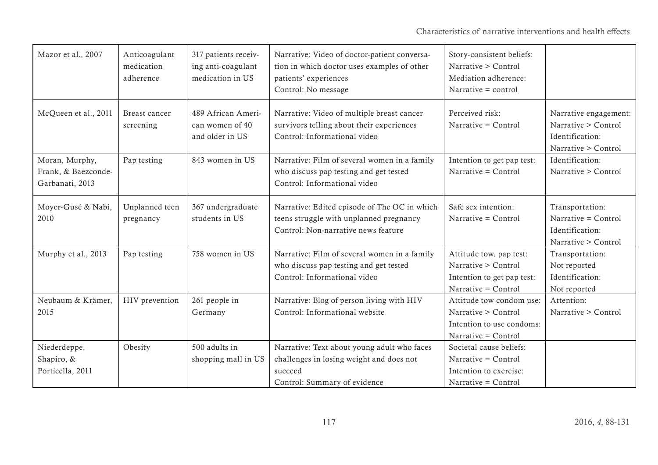| Mazor et al., 2007                                                      | Anticoagulant<br>medication<br>adherence | 317 patients receiv-<br>ing anti-coagulant<br>medication in US | Narrative: Video of doctor-patient conversa-<br>tion in which doctor uses examples of other<br>patients' experiences<br>Control: No message | Story-consistent beliefs:<br>Narrative > Control<br>Mediation adherence:<br>Narrative $=$ control   |                                                                                        |
|-------------------------------------------------------------------------|------------------------------------------|----------------------------------------------------------------|---------------------------------------------------------------------------------------------------------------------------------------------|-----------------------------------------------------------------------------------------------------|----------------------------------------------------------------------------------------|
| McQueen et al., 2011<br>Breast cancer<br>screening                      |                                          | 489 African Ameri-<br>can women of 40<br>and older in US       | Narrative: Video of multiple breast cancer<br>survivors telling about their experiences<br>Control: Informational video                     | Perceived risk:<br>Narrative = Control                                                              | Narrative engagement:<br>Narrative > Control<br>Identification:<br>Narrative > Control |
| Moran, Murphy,<br>Pap testing<br>Frank, & Baezconde-<br>Garbanati, 2013 |                                          | 843 women in US                                                | Narrative: Film of several women in a family<br>who discuss pap testing and get tested<br>Control: Informational video                      | Intention to get pap test:<br>Narrative = Control                                                   | Identification:<br>Narrative > Control                                                 |
| Moyer-Gusé & Nabi,<br>2010                                              | Unplanned teen<br>pregnancy              | 367 undergraduate<br>students in US                            | Narrative: Edited episode of The OC in which<br>teens struggle with unplanned pregnancy<br>Control: Non-narrative news feature              | Safe sex intention:<br>Narrative = Control                                                          | Transportation:<br>Narrative = Control<br>Identification:<br>Narrative > Control       |
| Murphy et al., 2013<br>Pap testing                                      |                                          | 758 women in US                                                | Narrative: Film of several women in a family<br>who discuss pap testing and get tested<br>Control: Informational video                      | Attitude tow. pap test:<br>Narrative > Control<br>Intention to get pap test:<br>Narrative = Control | Transportation:<br>Not reported<br>Identification:<br>Not reported                     |
| Neubaum & Krämer,<br>2015                                               | HIV prevention                           | 261 people in<br>Germany                                       | Narrative: Blog of person living with HIV<br>Control: Informational website                                                                 | Attitude tow condom use:<br>Narrative > Control<br>Intention to use condoms:<br>Narrative = Control | Attention:<br>Narrative > Control                                                      |
| Niederdeppe,<br>Shapiro, &<br>Porticella, 2011                          | Obesity                                  | 500 adults in<br>shopping mall in US                           | Narrative: Text about young adult who faces<br>challenges in losing weight and does not<br>succeed<br>Control: Summary of evidence          | Societal cause beliefs:<br>Narrative = Control<br>Intention to exercise:<br>Narrative = Control     |                                                                                        |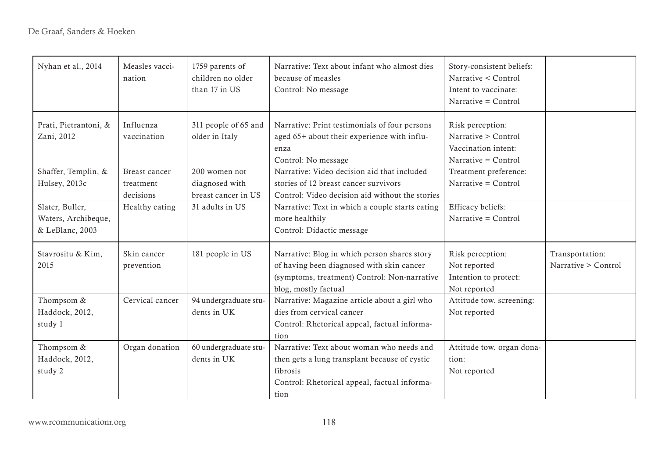| Nyhan et al., 2014                                        | Measles vacci-<br>nation                                                                          | 1759 parents of<br>children no older<br>than 17 in US | Narrative: Text about infant who almost dies<br>because of measles<br>Control: No message                                                                         | Story-consistent beliefs:<br>Narrative < Control<br>Intent to vaccinate:<br>Narrative = Control |                                        |
|-----------------------------------------------------------|---------------------------------------------------------------------------------------------------|-------------------------------------------------------|-------------------------------------------------------------------------------------------------------------------------------------------------------------------|-------------------------------------------------------------------------------------------------|----------------------------------------|
| Prati, Pietrantoni, &<br>Zani, 2012                       | Influenza<br>311 people of 65 and<br>vaccination<br>older in Italy                                |                                                       | Narrative: Print testimonials of four persons<br>aged 65+ about their experience with influ-<br>enza<br>Control: No message                                       | Risk perception:<br>Narrative > Control<br>Vaccination intent:<br>Narrative = Control           |                                        |
| Shaffer, Templin, &<br>Hulsey, 2013c                      | 200 women not<br>Breast cancer<br>diagnosed with<br>treatment<br>breast cancer in US<br>decisions |                                                       | Narrative: Video decision aid that included<br>stories of 12 breast cancer survivors<br>Control: Video decision aid without the stories                           | Treatment preference:<br>Narrative = $Control$                                                  |                                        |
| Slater, Buller,<br>Waters, Archibeque,<br>& LeBlanc, 2003 | Healthy eating                                                                                    | 31 adults in US                                       | Narrative: Text in which a couple starts eating<br>more healthily<br>Control: Didactic message                                                                    | Efficacy beliefs:<br>Narrative = Control                                                        |                                        |
| Stavrositu & Kim,<br>2015                                 | Skin cancer<br>181 people in US<br>prevention                                                     |                                                       | Narrative: Blog in which person shares story<br>of having been diagnosed with skin cancer<br>(symptoms, treatment) Control: Non-narrative<br>blog, mostly factual | Risk perception:<br>Not reported<br>Intention to protect:<br>Not reported                       | Transportation:<br>Narrative > Control |
| Thompsom &<br>Haddock, 2012,<br>study 1                   | Cervical cancer                                                                                   | 94 undergraduate stu-<br>dents in UK                  | Narrative: Magazine article about a girl who<br>dies from cervical cancer<br>Control: Rhetorical appeal, factual informa-<br>tion                                 | Attitude tow. screening:<br>Not reported                                                        |                                        |
| Thompsom &<br>Haddock, 2012,<br>study 2                   | Organ donation                                                                                    | 60 undergraduate stu-<br>dents in UK                  | Narrative: Text about woman who needs and<br>then gets a lung transplant because of cystic<br>fibrosis<br>Control: Rhetorical appeal, factual informa-            | Attitude tow. organ dona-<br>tion:<br>Not reported                                              |                                        |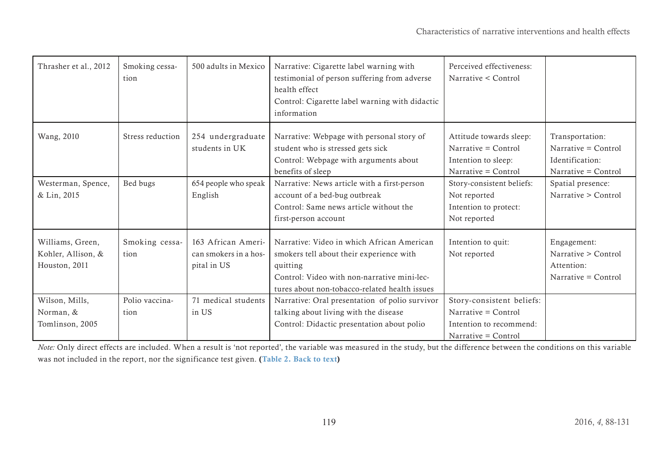| Thrasher et al., 2012                                   | Smoking cessa-<br>tion | 500 adults in Mexico                                       | Narrative: Cigarette label warning with<br>testimonial of person suffering from adverse<br>health effect<br>Control: Cigarette label warning with didactic<br>information                          | Perceived effectiveness:<br>Narrative < Control                                                    |                                                                                    |
|---------------------------------------------------------|------------------------|------------------------------------------------------------|----------------------------------------------------------------------------------------------------------------------------------------------------------------------------------------------------|----------------------------------------------------------------------------------------------------|------------------------------------------------------------------------------------|
| Wang, 2010                                              | Stress reduction       | 254 undergraduate<br>students in UK                        | Narrative: Webpage with personal story of<br>student who is stressed gets sick<br>Control: Webpage with arguments about<br>benefits of sleep                                                       | Attitude towards sleep:<br>Narrative = Control<br>Intention to sleep:<br>Narrative = Control       | Transportation:<br>Narrative $=$ Control<br>Identification:<br>Narrative = Control |
| Westerman, Spence,<br>& Lin, 2015                       | Bed bugs               | 654 people who speak<br>English                            | Narrative: News article with a first-person<br>account of a bed-bug outbreak<br>Control: Same news article without the<br>first-person account                                                     | Story-consistent beliefs:<br>Not reported<br>Intention to protect:<br>Not reported                 | Spatial presence:<br>Narrative > Control                                           |
| Williams, Green,<br>Kohler, Allison, &<br>Houston, 2011 | Smoking cessa-<br>tion | 163 African Ameri-<br>can smokers in a hos-<br>pital in US | Narrative: Video in which African American<br>smokers tell about their experience with<br>quitting<br>Control: Video with non-narrative mini-lec-<br>tures about non-tobacco-related health issues | Intention to quit:<br>Not reported                                                                 | Engagement:<br>Narrative > Control<br>Attention:<br>Narrative = Control            |
| Wilson, Mills,<br>Norman, &<br>Tomlinson, 2005          | Polio vaccina-<br>tion | 71 medical students<br>in US                               | Narrative: Oral presentation of polio survivor<br>talking about living with the disease<br>Control: Didactic presentation about polio                                                              | Story-consistent beliefs:<br>Narrative = Control<br>Intention to recommend:<br>Narrative = Control |                                                                                    |

*Note:* Only direct effects are included. When a result is 'not reported', the variable was measured in the study, but the difference between the conditions on this variable was not included in the report, nor the significance test given. ([Table 2. Back to text](#page-6-1))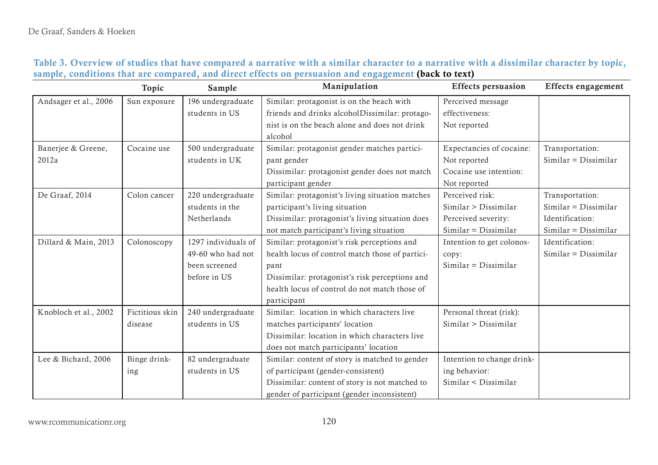<span id="page-32-0"></span>

|                       | Topic           | Sample              | Manipulation                                    | <b>Effects persuasion</b>  | <b>Effects engagement</b> |
|-----------------------|-----------------|---------------------|-------------------------------------------------|----------------------------|---------------------------|
| Andsager et al., 2006 | Sun exposure    | 196 undergraduate   | Similar: protagonist is on the beach with       | Perceived message          |                           |
|                       |                 | students in US      | friends and drinks alcoholDissimilar: protago-  | effectiveness:             |                           |
|                       |                 |                     | nist is on the beach alone and does not drink   | Not reported               |                           |
|                       |                 |                     | alcohol                                         |                            |                           |
| Banerjee & Greene,    | Cocaine use     | 500 undergraduate   | Similar: protagonist gender matches partici-    | Expectancies of cocaine:   | Transportation:           |
| 2012a                 |                 | students in UK      | pant gender                                     | Not reported               | $Similar = Dissimilar$    |
|                       |                 |                     | Dissimilar: protagonist gender does not match   | Cocaine use intention:     |                           |
|                       |                 |                     | participant gender                              | Not reported               |                           |
| De Graaf, 2014        | Colon cancer    | 220 undergraduate   | Similar: protagonist's living situation matches | Perceived risk:            | Transportation:           |
|                       |                 | students in the     | participant's living situation                  | Similar > Dissimilar       | $Similar = Dissimilar$    |
|                       |                 | Netherlands         | Dissimilar: protagonist's living situation does | Perceived severity:        | Identification:           |
|                       |                 |                     | not match participant's living situation        | $Similar = Dissimilar$     | $Similar = Dissimilar$    |
| Dillard & Main, 2013  | Colonoscopy     | 1297 individuals of | Similar: protagonist's risk perceptions and     | Intention to get colonos-  | Identification:           |
|                       |                 | 49-60 who had not   | health locus of control match those of partici- | copy:                      | $Similar = Dissimilar$    |
|                       |                 | been screened       | pant                                            | $Similar = Dissimilar$     |                           |
|                       |                 | before in US        | Dissimilar: protagonist's risk perceptions and  |                            |                           |
|                       |                 |                     | health locus of control do not match those of   |                            |                           |
|                       |                 |                     | participant                                     |                            |                           |
| Knobloch et al., 2002 | Fictitious skin | 240 undergraduate   | Similar: location in which characters live      | Personal threat (risk):    |                           |
|                       | disease         | students in US      | matches participants' location                  | Similar > Dissimilar       |                           |
|                       |                 |                     | Dissimilar: location in which characters live   |                            |                           |
|                       |                 |                     | does not match participants' location           |                            |                           |
| Lee & Bichard, 2006   | Binge drink-    | 82 undergraduate    | Similar: content of story is matched to gender  | Intention to change drink- |                           |
|                       | ing             | students in US      | of participant (gender-consistent)              | ing behavior:              |                           |
|                       |                 |                     | Dissimilar: content of story is not matched to  | Similar < Dissimilar       |                           |
|                       |                 |                     | gender of participant (gender inconsistent)     |                            |                           |

|  |  |  |  |                                                                                                      | Table 3. Overview of studies that have compared a narrative with a similar character to a narrative with a dissimilar character by topic, |
|--|--|--|--|------------------------------------------------------------------------------------------------------|-------------------------------------------------------------------------------------------------------------------------------------------|
|  |  |  |  | sample, conditions that are compared, and direct effects on persuasion and engagement (back to text) |                                                                                                                                           |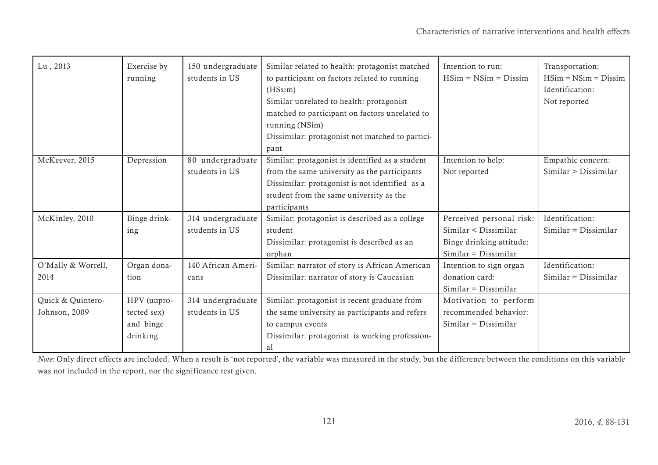| Lu, 2013           | Exercise by<br>running | 150 undergraduate<br>students in US | Similar related to health: protagonist matched<br>to participant on factors related to running<br>(HSsim)<br>Similar unrelated to health: protagonist<br>matched to participant on factors unrelated to<br>running (NSim)<br>Dissimilar: protagonist not matched to partici-<br>pant | Intention to run:<br>$HSim = NSim = Dissim$ | Transportation:<br>$HSim = NSim = Dissim$<br>Identification:<br>Not reported |
|--------------------|------------------------|-------------------------------------|--------------------------------------------------------------------------------------------------------------------------------------------------------------------------------------------------------------------------------------------------------------------------------------|---------------------------------------------|------------------------------------------------------------------------------|
| McKeever, 2015     | Depression             | 80 undergraduate                    | Similar: protagonist is identified as a student                                                                                                                                                                                                                                      | Intention to help:                          | Empathic concern:                                                            |
|                    |                        | students in US                      | from the same university as the participants                                                                                                                                                                                                                                         | Not reported                                | Similar > Dissimilar                                                         |
|                    |                        |                                     | Dissimilar: protagonist is not identified as a                                                                                                                                                                                                                                       |                                             |                                                                              |
|                    |                        |                                     | student from the same university as the                                                                                                                                                                                                                                              |                                             |                                                                              |
|                    |                        |                                     | participants                                                                                                                                                                                                                                                                         |                                             |                                                                              |
| McKinley, 2010     | Binge drink-           | 314 undergraduate                   | Similar: protagonist is described as a college                                                                                                                                                                                                                                       | Perceived personal risk:                    | Identification:                                                              |
|                    | ing                    | students in US                      | student                                                                                                                                                                                                                                                                              | Similar < Dissimilar                        | $Similar = Dissimilar$                                                       |
|                    |                        |                                     | Dissimilar: protagonist is described as an                                                                                                                                                                                                                                           | Binge drinking attitude:                    |                                                                              |
|                    |                        |                                     | orphan                                                                                                                                                                                                                                                                               | $Similar = Dissimilar$                      |                                                                              |
| O'Mally & Worrell, | Organ dona-            | 140 African Ameri-                  | Similar: narrator of story is African American                                                                                                                                                                                                                                       | Intention to sign organ                     | Identification:                                                              |
| 2014               | tion                   | cans                                | Dissimilar: narrator of story is Caucasian                                                                                                                                                                                                                                           | donation card:                              | $Similar = Dissimilar$                                                       |
|                    |                        |                                     |                                                                                                                                                                                                                                                                                      | $Similar = Dissimilar$                      |                                                                              |
| Quick & Quintero-  | HPV (unpro-            | 314 undergraduate                   | Similar: protagonist is recent graduate from                                                                                                                                                                                                                                         | Motivation to perform                       |                                                                              |
| Johnson, 2009      | tected sex)            | students in US                      | the same university as participants and refers                                                                                                                                                                                                                                       | recommended behavior:                       |                                                                              |
|                    | and binge              |                                     | to campus events                                                                                                                                                                                                                                                                     | $Similar = Dissimilar$                      |                                                                              |
|                    | drinking               |                                     | Dissimilar: protagonist is working profession-                                                                                                                                                                                                                                       |                                             |                                                                              |
|                    |                        |                                     | a1                                                                                                                                                                                                                                                                                   |                                             |                                                                              |

*Note:* Only direct effects are included. When a result is 'not reported', the variable was measured in the study, but the difference between the conditions on this variable was not included in the report, nor the significance test given.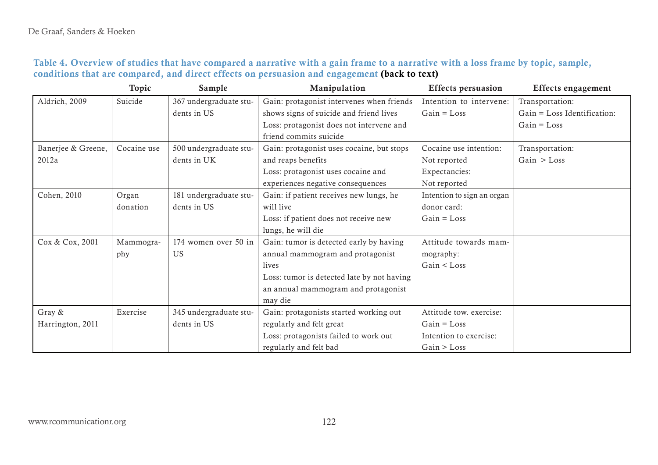<span id="page-34-0"></span>

|                    | Topic       | Sample                 | Manipulation                               | <b>Effects persuasion</b>  | Effects engagement          |
|--------------------|-------------|------------------------|--------------------------------------------|----------------------------|-----------------------------|
| Aldrich, 2009      | Suicide     | 367 undergraduate stu- | Gain: protagonist intervenes when friends  | Intention to intervene:    | Transportation:             |
|                    |             | dents in US            | shows signs of suicide and friend lives    | $Gain = Loss$              | Gain = Loss Identification: |
|                    |             |                        | Loss: protagonist does not intervene and   |                            | $Gain = Loss$               |
|                    |             |                        | friend commits suicide                     |                            |                             |
| Banerjee & Greene, | Cocaine use | 500 undergraduate stu- | Gain: protagonist uses cocaine, but stops  | Cocaine use intention:     | Transportation:             |
| 2012a              |             | dents in UK            | and reaps benefits                         | Not reported               | Gain $>$ Loss               |
|                    |             |                        | Loss: protagonist uses cocaine and         | Expectancies:              |                             |
|                    |             |                        | experiences negative consequences          | Not reported               |                             |
| Cohen, 2010        | Organ       | 181 undergraduate stu- | Gain: if patient receives new lungs, he    | Intention to sign an organ |                             |
|                    | donation    | dents in US            | will live                                  | donor card:                |                             |
|                    |             |                        | Loss: if patient does not receive new      | $Gain = Loss$              |                             |
|                    |             |                        | lungs, he will die                         |                            |                             |
| Cox & Cox, 2001    | Mammogra-   | 174 women over 50 in   | Gain: tumor is detected early by having    | Attitude towards mam-      |                             |
|                    | phy         | <b>US</b>              | annual mammogram and protagonist           | mography:                  |                             |
|                    |             |                        | lives                                      | Gain < Loss                |                             |
|                    |             |                        | Loss: tumor is detected late by not having |                            |                             |
|                    |             |                        | an annual mammogram and protagonist        |                            |                             |
|                    |             |                        | may die                                    |                            |                             |
| Gray &             | Exercise    | 345 undergraduate stu- | Gain: protagonists started working out     | Attitude tow. exercise:    |                             |
| Harrington, 2011   |             | dents in US            | regularly and felt great                   | $Gain = Loss$              |                             |
|                    |             |                        | Loss: protagonists failed to work out      | Intention to exercise:     |                             |
|                    |             |                        | regularly and felt bad                     | Gain > Loss                |                             |

|                                                                                              |  | Table 4. Overview of studies that have compared a narrative with a gain frame to a narrative with a loss frame by topic, sample, |
|----------------------------------------------------------------------------------------------|--|----------------------------------------------------------------------------------------------------------------------------------|
| conditions that are compared, and direct effects on persuasion and engagement (back to text) |  |                                                                                                                                  |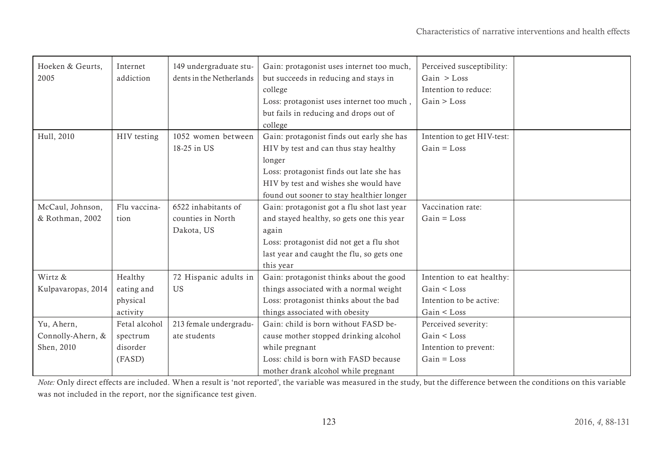| Hoeken & Geurts,   | Internet      | 149 undergraduate stu-   | Gain: protagonist uses internet too much,  | Perceived susceptibility:  |  |
|--------------------|---------------|--------------------------|--------------------------------------------|----------------------------|--|
| 2005               | addiction     | dents in the Netherlands | but succeeds in reducing and stays in      | Gain > Loss                |  |
|                    |               |                          | college                                    | Intention to reduce:       |  |
|                    |               |                          | Loss: protagonist uses internet too much,  | Gain > Loss                |  |
|                    |               |                          | but fails in reducing and drops out of     |                            |  |
|                    |               |                          | college                                    |                            |  |
| Hull, 2010         | HIV testing   | 1052 women between       | Gain: protagonist finds out early she has  | Intention to get HIV-test: |  |
|                    |               | 18-25 in US              | HIV by test and can thus stay healthy      | $Gain = Loss$              |  |
|                    |               |                          | longer                                     |                            |  |
|                    |               |                          | Loss: protagonist finds out late she has   |                            |  |
|                    |               |                          | HIV by test and wishes she would have      |                            |  |
|                    |               |                          | found out sooner to stay healthier longer  |                            |  |
| McCaul, Johnson,   | Flu vaccina-  | 6522 inhabitants of      | Gain: protagonist got a flu shot last year | Vaccination rate:          |  |
| & Rothman, 2002    | tion          | counties in North        | and stayed healthy, so gets one this year  | $Gain = Loss$              |  |
|                    |               | Dakota, US               | again                                      |                            |  |
|                    |               |                          | Loss: protagonist did not get a flu shot   |                            |  |
|                    |               |                          | last year and caught the flu, so gets one  |                            |  |
|                    |               |                          | this year                                  |                            |  |
| Wirtz &            | Healthy       | 72 Hispanic adults in    | Gain: protagonist thinks about the good    | Intention to eat healthy:  |  |
| Kulpavaropas, 2014 | eating and    | <b>US</b>                | things associated with a normal weight     | Gain < Loss                |  |
|                    | physical      |                          | Loss: protagonist thinks about the bad     | Intention to be active:    |  |
|                    | activity      |                          | things associated with obesity             | Gain < Loss                |  |
| Yu, Ahern,         | Fetal alcohol | 213 female undergradu-   | Gain: child is born without FASD be-       | Perceived severity:        |  |
| Connolly-Ahern, &  | spectrum      | ate students             | cause mother stopped drinking alcohol      | Gain < Loss                |  |
| Shen, 2010         | disorder      |                          | while pregnant                             | Intention to prevent:      |  |
|                    | (FASD)        |                          | Loss: child is born with FASD because      | $Gain = Loss$              |  |
|                    |               |                          | mother drank alcohol while pregnant        |                            |  |

*Note:* Only direct effects are included. When a result is 'not reported', the variable was measured in the study, but the difference between the conditions on this variable was not included in the report, nor the significance test given.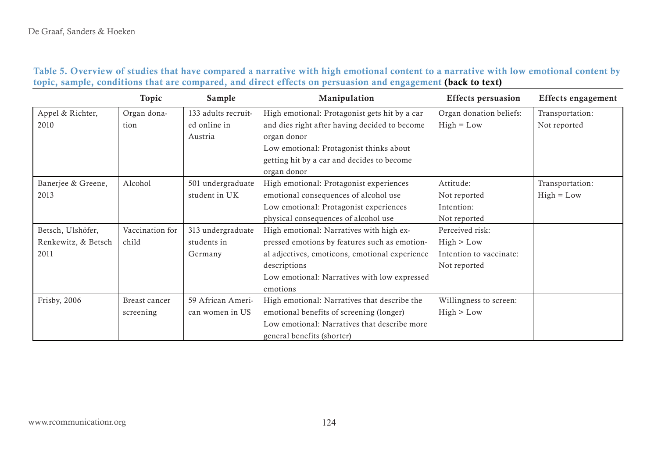# Table 5. Overview of studies that have compared a narrative with high emotional content to a narrative with low emotional content by topic, sample, conditions that are compared, and direct effects on persuasion and engagement ([back to text](#page-10-1))

<span id="page-36-0"></span>

|                     | Topic           | Sample              | Manipulation                                   | <b>Effects persuasion</b> | <b>Effects engagement</b> |
|---------------------|-----------------|---------------------|------------------------------------------------|---------------------------|---------------------------|
| Appel & Richter,    | Organ dona-     | 133 adults recruit- | High emotional: Protagonist gets hit by a car  | Organ donation beliefs:   | Transportation:           |
| 2010                | tion            | ed online in        | and dies right after having decided to become  | $High = Low$              | Not reported              |
|                     |                 | Austria             | organ donor                                    |                           |                           |
|                     |                 |                     | Low emotional: Protagonist thinks about        |                           |                           |
|                     |                 |                     | getting hit by a car and decides to become     |                           |                           |
|                     |                 |                     | organ donor                                    |                           |                           |
| Banerjee & Greene,  | Alcohol         | 501 undergraduate   | High emotional: Protagonist experiences        | Attitude:                 | Transportation:           |
| 2013                |                 | student in UK       | emotional consequences of alcohol use          | Not reported              | $High = Low$              |
|                     |                 |                     | Low emotional: Protagonist experiences         | Intention:                |                           |
|                     |                 |                     | physical consequences of alcohol use           | Not reported              |                           |
| Betsch, Ulshöfer,   | Vaccination for | 313 undergraduate   | High emotional: Narratives with high ex-       | Perceived risk:           |                           |
| Renkewitz, & Betsch | child           | students in         | pressed emotions by features such as emotion-  | High > Low                |                           |
| 2011                |                 | Germany             | al adjectives, emoticons, emotional experience | Intention to vaccinate:   |                           |
|                     |                 |                     | descriptions                                   | Not reported              |                           |
|                     |                 |                     | Low emotional: Narratives with low expressed   |                           |                           |
|                     |                 |                     | emotions                                       |                           |                           |
| Frisby, 2006        | Breast cancer   | 59 African Ameri-   | High emotional: Narratives that describe the   | Willingness to screen:    |                           |
|                     | screening       | can women in US     | emotional benefits of screening (longer)       | High > Low                |                           |
|                     |                 |                     | Low emotional: Narratives that describe more   |                           |                           |
|                     |                 |                     | general benefits (shorter)                     |                           |                           |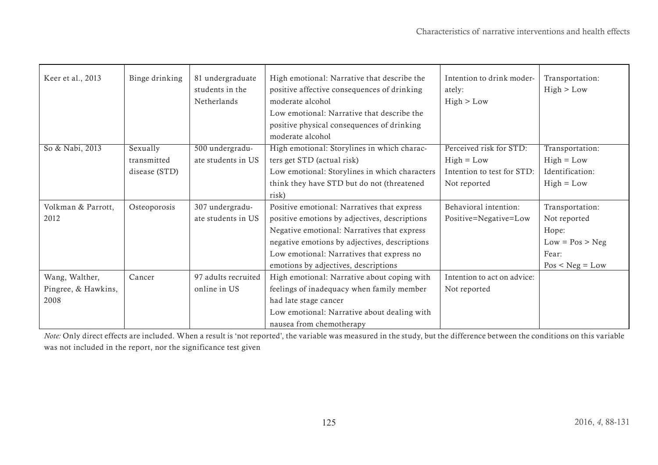| Keer et al., 2013   | Binge drinking | 81 undergraduate<br>students in the<br>Netherlands | High emotional: Narrative that describe the<br>positive affective consequences of drinking<br>moderate alcohol<br>Low emotional: Narrative that describe the<br>positive physical consequences of drinking<br>moderate alcohol | Intention to drink moder-<br>ately:<br>High > Low | Transportation:<br>High > Low |
|---------------------|----------------|----------------------------------------------------|--------------------------------------------------------------------------------------------------------------------------------------------------------------------------------------------------------------------------------|---------------------------------------------------|-------------------------------|
| So & Nabi, 2013     | Sexually       | 500 undergradu-                                    | High emotional: Storylines in which charac-                                                                                                                                                                                    | Perceived risk for STD:                           | Transportation:               |
|                     | transmitted    | ate students in US                                 | ters get STD (actual risk)                                                                                                                                                                                                     | $High = Low$                                      | $High = Low$                  |
|                     | disease (STD)  |                                                    | Low emotional: Storylines in which characters                                                                                                                                                                                  | Intention to test for STD:                        | Identification:               |
|                     |                |                                                    | think they have STD but do not (threatened                                                                                                                                                                                     | Not reported                                      | $High = Low$                  |
|                     |                |                                                    | risk)                                                                                                                                                                                                                          |                                                   |                               |
| Volkman & Parrott,  | Osteoporosis   | 307 undergradu-                                    | Positive emotional: Narratives that express                                                                                                                                                                                    | Behavioral intention:                             | Transportation:               |
| 2012                |                | ate students in US                                 | positive emotions by adjectives, descriptions                                                                                                                                                                                  | Positive=Negative=Low                             | Not reported                  |
|                     |                |                                                    | Negative emotional: Narratives that express                                                                                                                                                                                    |                                                   | Hope:                         |
|                     |                |                                                    | negative emotions by adjectives, descriptions                                                                                                                                                                                  |                                                   | $Low = Pos > Neg$             |
|                     |                |                                                    | Low emotional: Narratives that express no                                                                                                                                                                                      |                                                   | Fear:                         |
|                     |                |                                                    | emotions by adjectives, descriptions                                                                                                                                                                                           |                                                   | $Pos < Neg = Low$             |
| Wang, Walther,      | Cancer         | 97 adults recruited                                | High emotional: Narrative about coping with                                                                                                                                                                                    | Intention to act on advice:                       |                               |
| Pingree, & Hawkins, |                | online in US                                       | feelings of inadequacy when family member                                                                                                                                                                                      | Not reported                                      |                               |
| 2008                |                |                                                    | had late stage cancer                                                                                                                                                                                                          |                                                   |                               |
|                     |                |                                                    | Low emotional: Narrative about dealing with                                                                                                                                                                                    |                                                   |                               |
|                     |                |                                                    | nausea from chemotherapy                                                                                                                                                                                                       |                                                   |                               |

*Note:* Only direct effects are included. When a result is 'not reported', the variable was measured in the study, but the difference between the conditions on this variable was not included in the report, nor the significance test given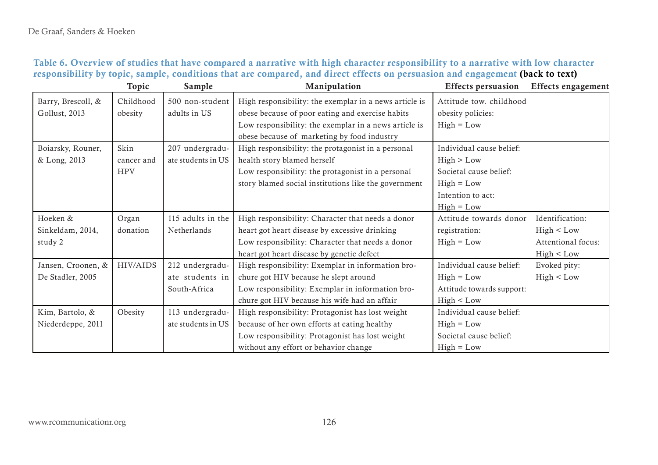<span id="page-38-0"></span>

|                    | Topic      | Sample             | Manipulation                                           | <b>Effects</b> persuasion | <b>Effects</b> engagement |
|--------------------|------------|--------------------|--------------------------------------------------------|---------------------------|---------------------------|
| Barry, Brescoll, & | Childhood  | 500 non-student    | High responsibility: the exemplar in a news article is | Attitude tow. childhood   |                           |
| Gollust, 2013      | obesity    | adults in US       | obese because of poor eating and exercise habits       | obesity policies:         |                           |
|                    |            |                    | Low responsibility: the exemplar in a news article is  | $High = Low$              |                           |
|                    |            |                    | obese because of marketing by food industry            |                           |                           |
| Boiarsky, Rouner,  | Skin       | 207 undergradu-    | High responsibility: the protagonist in a personal     | Individual cause belief:  |                           |
| & Long, 2013       | cancer and | ate students in US | health story blamed herself                            | High > Low                |                           |
|                    | <b>HPV</b> |                    | Low responsibility: the protagonist in a personal      | Societal cause belief:    |                           |
|                    |            |                    | story blamed social institutions like the government   | $High = Low$              |                           |
|                    |            |                    |                                                        | Intention to act:         |                           |
|                    |            |                    |                                                        | $High = Low$              |                           |
| Hoeken &           | Organ      | 115 adults in the  | High responsibility: Character that needs a donor      | Attitude towards donor    | Identification:           |
| Sinkeldam, 2014,   | donation   | Netherlands        | heart got heart disease by excessive drinking          | registration:             | High < Low                |
| study 2            |            |                    | Low responsibility: Character that needs a donor       | $High = Low$              | Attentional focus:        |
|                    |            |                    | heart got heart disease by genetic defect              |                           | High < Low                |
| Jansen, Croonen, & | HIV/AIDS   | 212 undergradu-    | High responsibility: Exemplar in information bro-      | Individual cause belief:  | Evoked pity:              |
| De Stadler, 2005   |            | ate students in    | chure got HIV because he slept around                  | $High = Low$              | High < Low                |
|                    |            | South-Africa       | Low responsibility: Exemplar in information bro-       | Attitude towards support: |                           |
|                    |            |                    | chure got HIV because his wife had an affair           | High < Low                |                           |
| Kim, Bartolo, &    | Obesity    | 113 undergradu-    | High responsibility: Protagonist has lost weight       | Individual cause belief:  |                           |
| Niederdeppe, 2011  |            | ate students in US | because of her own efforts at eating healthy           | $High = Low$              |                           |
|                    |            |                    | Low responsibility: Protagonist has lost weight        | Societal cause belief:    |                           |
|                    |            |                    | without any effort or behavior change                  | $High = Low$              |                           |

# Table 6. Overview of studies that have compared a narrative with high character responsibility to a narrative with low character responsibility by topic, sample, conditions that are compared, and direct effects on persuasion and engagement ([back to text](#page-10-2))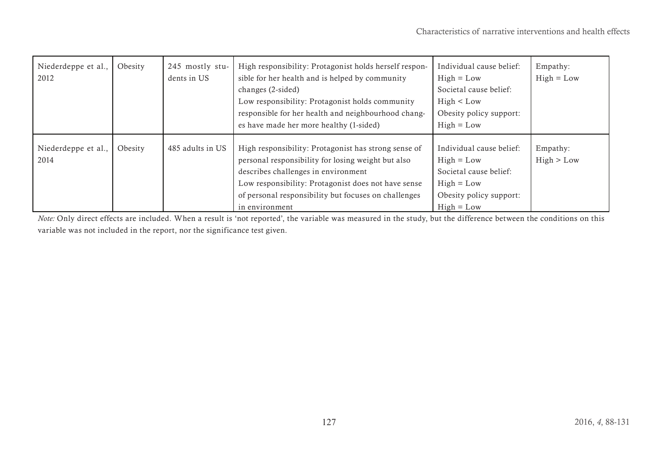| Niederdeppe et al.,<br>2012 | Obesity | 245 mostly stu-<br>dents in US | High responsibility: Protagonist holds herself respon-<br>sible for her health and is helped by community<br>changes (2-sided)<br>Low responsibility: Protagonist holds community<br>responsible for her health and neighbourhood chang-<br>es have made her more healthy (1-sided) | Individual cause belief:<br>$High = Low$<br>Societal cause belief:<br>High < Low<br>Obesity policy support:<br>$High = Low$   | Empathy:<br>$High = Low$ |
|-----------------------------|---------|--------------------------------|-------------------------------------------------------------------------------------------------------------------------------------------------------------------------------------------------------------------------------------------------------------------------------------|-------------------------------------------------------------------------------------------------------------------------------|--------------------------|
| Niederdeppe et al.,<br>2014 | Obesity | 485 adults in US               | High responsibility: Protagonist has strong sense of<br>personal responsibility for losing weight but also<br>describes challenges in environment<br>Low responsibility: Protagonist does not have sense<br>of personal responsibility but focuses on challenges<br>in environment  | Individual cause belief:<br>$High = Low$<br>Societal cause belief:<br>$High = Low$<br>Obesity policy support:<br>$High = Low$ | Empathy:<br>High > Low   |

*Note:* Only direct effects are included. When a result is 'not reported', the variable was measured in the study, but the difference between the conditions on this variable was not included in the report, nor the significance test given.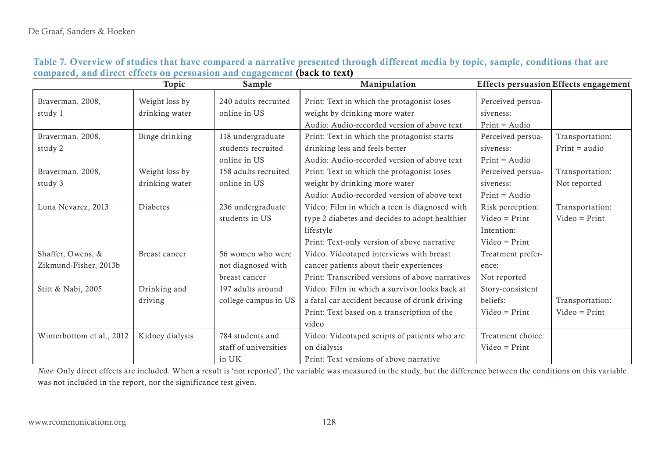|                           | Topic           | Sample                | Manipulation                                    |                   | <b>Effects persuasion Effects engagement</b> |
|---------------------------|-----------------|-----------------------|-------------------------------------------------|-------------------|----------------------------------------------|
| Braverman, 2008,          | Weight loss by  | 240 adults recruited  | Print: Text in which the protagonist loses      | Perceived persua- |                                              |
| study 1                   | drinking water  | online in US          | weight by drinking more water                   | siveness:         |                                              |
|                           |                 |                       | Audio: Audio-recorded version of above text     | $Print = Audio$   |                                              |
| Braverman, 2008,          | Binge drinking  | 118 undergraduate     | Print: Text in which the protagonist starts     | Perceived persua- | Transportation:                              |
| study 2                   |                 | students recruited    | drinking less and feels better                  | siveness:         | $Print = audio$                              |
|                           |                 | online in US          | Audio: Audio-recorded version of above text     | $Print = Audio$   |                                              |
| Braverman, 2008,          | Weight loss by  | 158 adults recruited  | Print: Text in which the protagonist loses      | Perceived persua- | Transportation:                              |
| study 3                   | drinking water  | online in US          | weight by drinking more water                   | siveness:         | Not reported                                 |
|                           |                 |                       | Audio: Audio-recorded version of above text     | $Print = Audio$   |                                              |
| Luna Nevarez, 2013        | Diabetes        | 236 undergraduate     | Video: Film in which a teen is diagnosed with   | Risk perception:  | Transportation:                              |
|                           |                 | students in US        | type 2 diabetes and decides to adopt healthier  | $Video = Print$   | $Video = Print$                              |
|                           |                 |                       | lifestyle                                       | Intention:        |                                              |
|                           |                 |                       | Print: Text-only version of above narrative     | $Video = Print$   |                                              |
| Shaffer, Owens, &         | Breast cancer   | 56 women who were     | Video: Videotaped interviews with breast        | Treatment prefer- |                                              |
| Zikmund-Fisher, 2013b     |                 | not diagnosed with    | cancer patients about their experiences         | ence:             |                                              |
|                           |                 | breast cancer         | Print: Transcribed versions of above narratives | Not reported      |                                              |
| Stitt & Nabi, 2005        | Drinking and    | 197 adults around     | Video: Film in which a survivor looks back at   | Story-consistent  |                                              |
|                           | driving         | college campus in US  | a fatal car accident because of drunk driving   | beliefs:          | Transportation:                              |
|                           |                 |                       | Print: Text based on a transcription of the     | $Video = Print$   | $Video = Print$                              |
|                           |                 |                       | video                                           |                   |                                              |
| Winterbottom et al., 2012 | Kidney dialysis | 784 students and      | Video: Videotaped scripts of patients who are   | Treatment choice: |                                              |
|                           |                 | staff of universities | on dialysis                                     | $Video = Print$   |                                              |
|                           |                 | in UK                 | Print: Text versions of above narrative         |                   |                                              |

<span id="page-40-0"></span>*Note:* Only direct effects are included. When a result is 'not reported', the variable was measured in the study, but the difference between the conditions on this variable was not included in the report, nor the significance test given.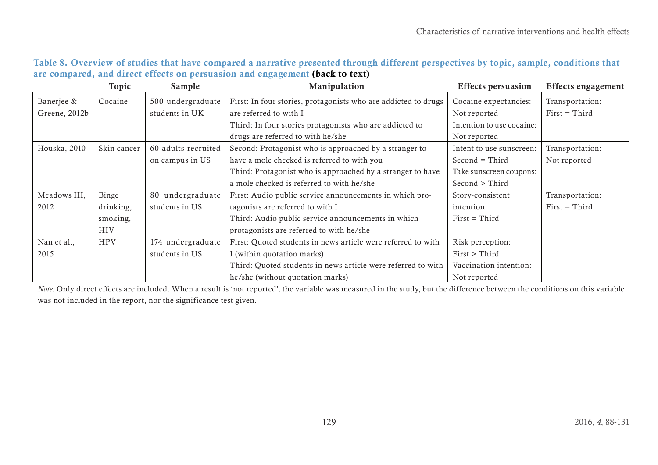|               | Topic       | Sample              | Manipulation                                                   | <b>Effects persuasion</b> | <b>Effects engagement</b> |
|---------------|-------------|---------------------|----------------------------------------------------------------|---------------------------|---------------------------|
| Banerjee &    | Cocaine     | 500 undergraduate   | First: In four stories, protagonists who are addicted to drugs | Cocaine expectancies:     | Transportation:           |
| Greene, 2012b |             | students in UK      | are referred to with I                                         | Not reported              | $First = Third$           |
|               |             |                     | Third: In four stories protagonists who are addicted to        | Intention to use cocaine: |                           |
|               |             |                     | drugs are referred to with he/she                              | Not reported              |                           |
| Houska, 2010  | Skin cancer | 60 adults recruited | Second: Protagonist who is approached by a stranger to         | Intent to use sunscreen:  | Transportation:           |
|               |             | on campus in US     | have a mole checked is referred to with you                    | $Second = Third$          | Not reported              |
|               |             |                     | Third: Protagonist who is approached by a stranger to have     | Take sunscreen coupons:   |                           |
|               |             |                     | a mole checked is referred to with he/she                      | Second > Third            |                           |
| Meadows III,  | Binge       | 80 undergraduate    | First: Audio public service announcements in which pro-        | Story-consistent          | Transportation:           |
| 2012          | drinking,   | students in US      | tagonists are referred to with I                               | intention:                | $First = Third$           |
|               | smoking,    |                     | Third: Audio public service announcements in which             | $First = Third$           |                           |
|               | <b>HIV</b>  |                     | protagonists are referred to with he/she                       |                           |                           |
| Nan et al.,   | <b>HPV</b>  | 174 undergraduate   | First: Quoted students in news article were referred to with   | Risk perception:          |                           |
| 2015          |             | students in US      | I (within quotation marks)                                     | $First$ > Third           |                           |
|               |             |                     | Third: Quoted students in news article were referred to with   | Vaccination intention:    |                           |
|               |             |                     | he/she (without quotation marks)                               | Not reported              |                           |

# Table 8. Overview of studies that have compared a narrative presented through different perspectives by topic, sample, conditions that are compared, and direct effects on persuasion and engagement ([back to text\)](#page-11-2)

<span id="page-41-0"></span>*Note:* Only direct effects are included. When a result is 'not reported', the variable was measured in the study, but the difference between the conditions on this variable was not included in the report, nor the significance test given.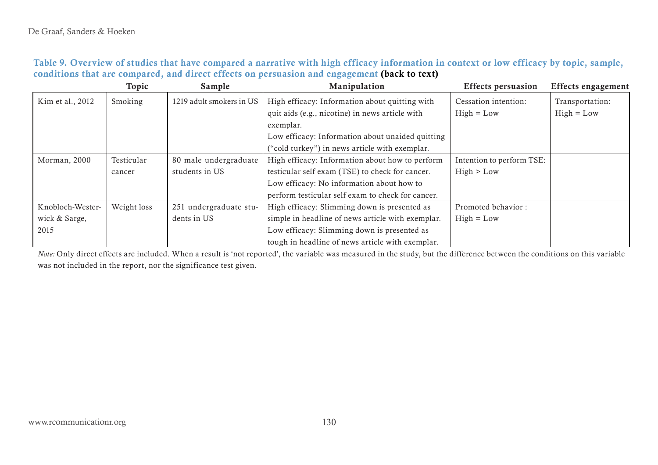|                  | Topic       | Sample                   | Manipulation                                      | <b>Effects persuasion</b> | <b>Effects</b> engagement |
|------------------|-------------|--------------------------|---------------------------------------------------|---------------------------|---------------------------|
| Kim et al., 2012 | Smoking     | 1219 adult smokers in US | High efficacy: Information about quitting with    | Cessation intention:      | Transportation:           |
|                  |             |                          | quit aids (e.g., nicotine) in news article with   | $High = Low$              | $High = Low$              |
|                  |             |                          | exemplar.                                         |                           |                           |
|                  |             |                          | Low efficacy: Information about unaided quitting  |                           |                           |
|                  |             |                          | ("cold turkey") in news article with exemplar.    |                           |                           |
| Morman, 2000     | Testicular  | 80 male undergraduate    | High efficacy: Information about how to perform   | Intention to perform TSE: |                           |
|                  | cancer      | students in US           | testicular self exam (TSE) to check for cancer.   | High > Low                |                           |
|                  |             |                          | Low efficacy: No information about how to         |                           |                           |
|                  |             |                          | perform testicular self exam to check for cancer. |                           |                           |
| Knobloch-Wester- | Weight loss | 251 undergraduate stu-   | High efficacy: Slimming down is presented as      | Promoted behavior:        |                           |
| wick & Sarge,    |             | dents in US              | simple in headline of news article with exemplar. | $High = Low$              |                           |
| 2015             |             |                          | Low efficacy: Slimming down is presented as       |                           |                           |
|                  |             |                          | tough in headline of news article with exemplar.  |                           |                           |

| Table 9. Overview of studies that have compared a narrative with high efficacy information in context or low efficacy by topic, sample, |  |
|-----------------------------------------------------------------------------------------------------------------------------------------|--|
| conditions that are compared, and direct effects on persuasion and engagement (back to text)                                            |  |

<span id="page-42-0"></span>*Note:* Only direct effects are included. When a result is 'not reported', the variable was measured in the study, but the difference between the conditions on this variable was not included in the report, nor the significance test given.